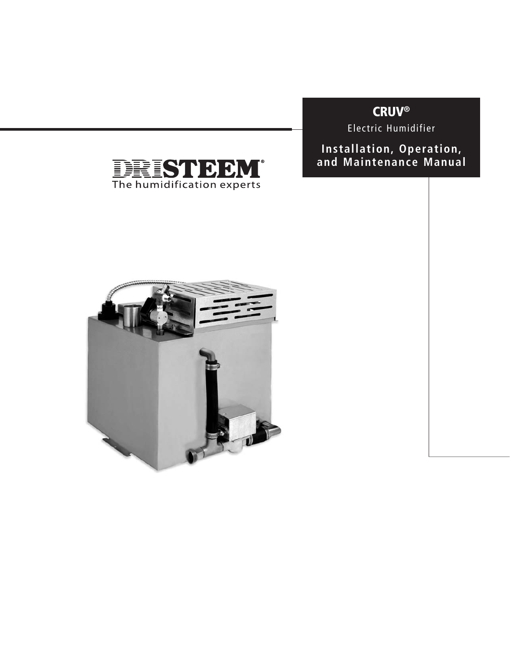# **CRUV®**

Electric Humidifier

**Installation, Operation, and Maintenance Manual**



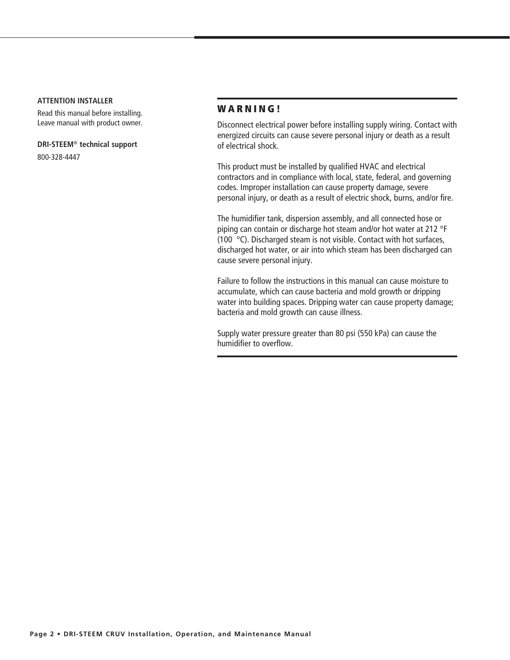#### **ATTENTION INSTALLER**

Read this manual before installing. Leave manual with product owner.

**DRI-STEEM**® **technical support**

800-328-4447

### **W A R N I N G !**

Disconnect electrical power before installing supply wiring. Contact with energized circuits can cause severe personal injury or death as a result of electrical shock.

This product must be installed by qualified HVAC and electrical contractors and in compliance with local, state, federal, and governing codes. Improper installation can cause property damage, severe personal injury, or death as a result of electric shock, burns, and/or fire.

The humidifier tank, dispersion assembly, and all connected hose or piping can contain or discharge hot steam and/or hot water at 212 °F (100 °C). Discharged steam is not visible. Contact with hot surfaces, discharged hot water, or air into which steam has been discharged can cause severe personal injury.

Failure to follow the instructions in this manual can cause moisture to accumulate, which can cause bacteria and mold growth or dripping water into building spaces. Dripping water can cause property damage; bacteria and mold growth can cause illness.

Supply water pressure greater than 80 psi (550 kPa) can cause the humidifier to overflow.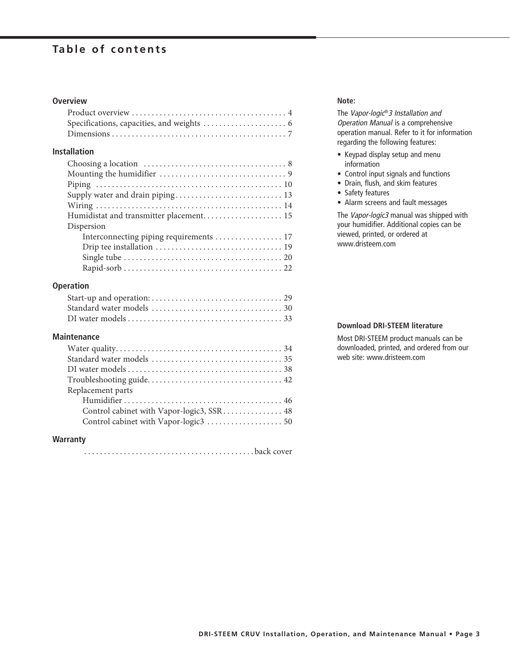### **Table of contents**

### **Overview**

### **Installation**

| Supply water and drain piping 13        |
|-----------------------------------------|
|                                         |
| Humidistat and transmitter placement 15 |
| Dispersion                              |
| Interconnecting piping requirements 17  |
|                                         |
|                                         |
|                                         |

### **Operation**

### **Maintenance**

| Replacement parts |
|-------------------|
|                   |
|                   |
|                   |
|                   |

### **Warranty**

........................................... back cover

#### **Note:**

The Vapor-logic®3 Installation and Operation Manual is a comprehensive operation manual. Refer to it for information regarding the following features:

- $\bullet$  Keypad display setup and menu information
- Control input signals and functions
- Drain, flush, and skim features
- Safety features
- Alarm screens and fault messages

The Vapor-logic3 manual was shipped with your humidifier. Additional copies can be viewed, printed, or ordered at www.dristeem.com

### **Download DRI-STEEM literature**

Most DRI-STEEM product manuals can be downloaded, printed, and ordered from our web site: www.dristeem.com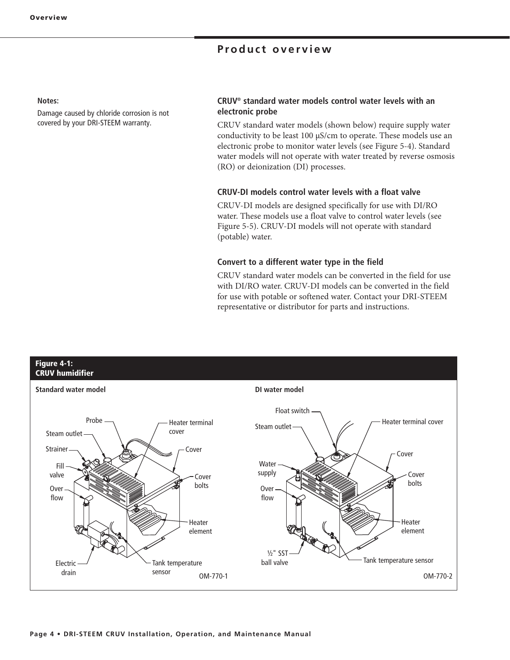### **Product overview**

#### **Notes:**

Damage caused by chloride corrosion is not covered by your DRI-STEEM warranty.

### **CRUV® standard water models control water levels with an electronic probe**

CRUV standard water models (shown below) require supply water conductivity to be least 100 μS/cm to operate. These models use an electronic probe to monitor water levels (see Figure 5-4). Standard water models will not operate with water treated by reverse osmosis (RO) or deionization (DI) processes.

### **CRUV-DI models control water levels with a float valve**

CRUV-DI models are designed specifically for use with DI/RO water. These models use a float valve to control water levels (see Figure 5-5). CRUV-DI models will not operate with standard (potable) water.

#### **Convert to a different water type in the field**

CRUV standard water models can be converted in the field for use with DI/RO water. CRUV-DI models can be converted in the field for use with potable or softened water. Contact your DRI-STEEM representative or distributor for parts and instructions.

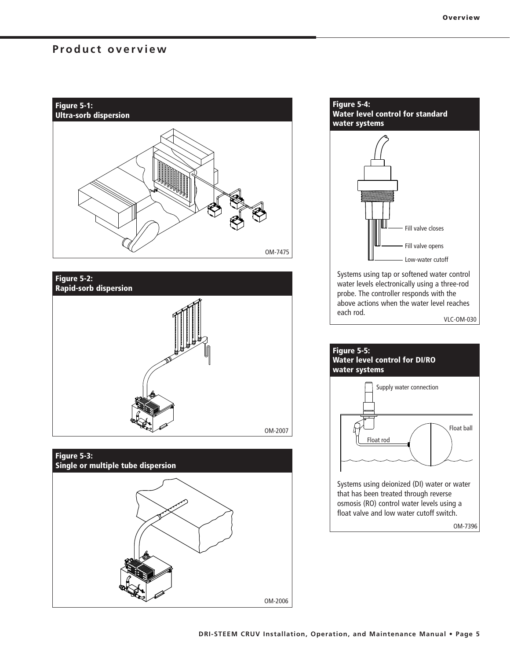### **Product overview**







### **Figure 5-4: Water level control for standard water systems**



Systems using tap or softened water control water levels electronically using a three-rod probe. The controller responds with the above actions when the water level reaches each rod. VLC-OM-030



OM-7396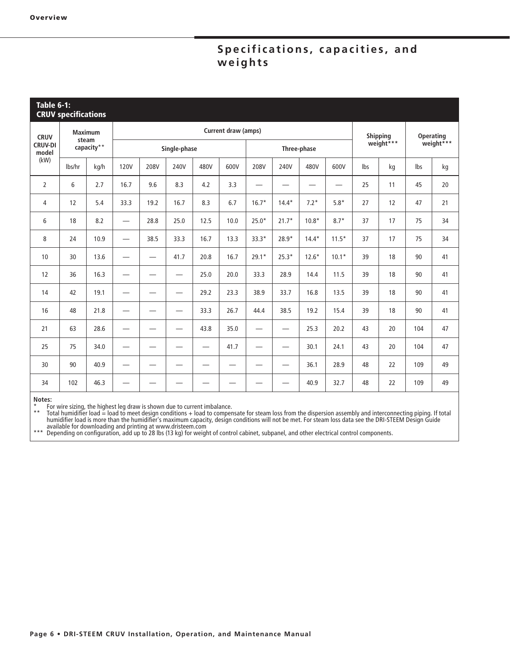## Specifications, capacities, and  $\overline{w}$ eights

| <b>Table 6-1:</b><br><b>CRUV specifications</b> |                         |            |                          |      |                                 |                 |                               |                                 |                               |           |                          |                 |    |                  |    |
|-------------------------------------------------|-------------------------|------------|--------------------------|------|---------------------------------|-----------------|-------------------------------|---------------------------------|-------------------------------|-----------|--------------------------|-----------------|----|------------------|----|
| <b>CRUV</b>                                     | <b>Maximum</b><br>steam |            |                          |      |                                 |                 | Current draw (amps)           |                                 |                               |           |                          | <b>Shipping</b> |    | <b>Operating</b> |    |
| <b>CRUV-DI</b><br>model                         |                         | capacity** | Single-phase             |      |                                 | Three-phase     |                               |                                 |                               | weight*** |                          | weight***       |    |                  |    |
| (kW)                                            | lbs/hr                  | kg/h       | <b>120V</b>              | 208V | 240V                            | 480V            | 600V                          | 208V                            | 240V                          | 480V      | 600V                     | lbs             | kg | Ibs              | kg |
| $\overline{2}$                                  | 6                       | 2.7        | 16.7                     | 9.6  | 8.3                             | 4.2             | 3.3                           | —                               |                               |           | $\overline{\phantom{0}}$ | 25              | 11 | 45               | 20 |
| 4                                               | 12                      | 5.4        | 33.3                     | 19.2 | 16.7                            | 8.3             | 6.7                           | $16.7*$                         | $14.4*$                       | $7.2*$    | $5.8*$                   | 27              | 12 | 47               | 21 |
| 6                                               | 18                      | 8.2        | $\overline{\phantom{0}}$ | 28.8 | 25.0                            | 12.5            | 10.0                          | $25.0*$                         | $21.7*$                       | $10.8*$   | $8.7*$                   | 37              | 17 | 75               | 34 |
| 8                                               | 24                      | 10.9       | $\overline{\phantom{0}}$ | 38.5 | 33.3                            | 16.7            | 13.3                          | $33.3*$                         | 28.9*                         | $14.4*$   | $11.5*$                  | 37              | 17 | 75               | 34 |
| 10                                              | 30                      | 13.6       |                          |      | 41.7                            | 20.8            | 16.7                          | $29.1*$                         | $25.3*$                       | $12.6*$   | $10.1*$                  | 39              | 18 | 90               | 41 |
| 12                                              | 36                      | 16.3       | —                        | -    | $\hspace{0.05cm}$               | 25.0            | 20.0                          | 33.3                            | 28.9                          | 14.4      | 11.5                     | 39              | 18 | 90               | 41 |
| 14                                              | 42                      | 19.1       |                          |      | $\hspace{0.05cm}$               | 29.2            | 23.3                          | 38.9                            | 33.7                          | 16.8      | 13.5                     | 39              | 18 | 90               | 41 |
| 16                                              | 48                      | 21.8       | $\overline{\phantom{0}}$ |      |                                 | 33.3            | 26.7                          | 44.4                            | 38.5                          | 19.2      | 15.4                     | 39              | 18 | 90               | 41 |
| 21                                              | 63                      | 28.6       |                          |      | $\hspace{0.1mm}-\hspace{0.1mm}$ | 43.8            | 35.0                          | $\hspace{0.1mm}-\hspace{0.1mm}$ | $\overbrace{\phantom{12332}}$ | 25.3      | 20.2                     | 43              | 20 | 104              | 47 |
| 25                                              | 75                      | 34.0       |                          |      |                                 | $\qquad \qquad$ | 41.7                          |                                 | —                             | 30.1      | 24.1                     | 43              | 20 | 104              | 47 |
| 30                                              | 90                      | 40.9       | —                        | –    |                                 |                 | $\overbrace{\phantom{12332}}$ |                                 | $\overbrace{\phantom{12332}}$ | 36.1      | 28.9                     | 48              | 22 | 109              | 49 |
| 34                                              | 102                     | 46.3       |                          |      |                                 |                 |                               |                                 |                               | 40.9      | 32.7                     | 48              | 22 | 109              | 49 |

**Notes:**

\* For wire sizing, the highest leg draw is shown due to current imbalance.

\*\* Total humidifier load = load to meet design conditions + load to compensate for steam loss from the dispersion assembly and interconnecting piping. If total humidifier load is more than the humidifier's maximum capacity, design conditions will not be met. For steam loss data see the DRI-STEEM Design Guide available for downloading and printing at www.dristeem.com

\*\*\* Depending on configuration, add up to 28 lbs (13 kg) for weight of control cabinet, subpanel, and other electrical control components.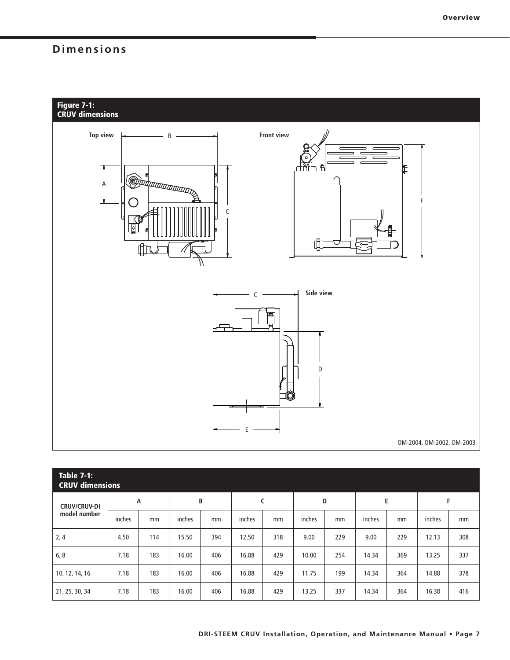## **Dimensions**



| <b>Table 7-1:</b><br><b>CRUV dimensions</b> |        |     |        |     |        |     |        |     |        |     |        |     |
|---------------------------------------------|--------|-----|--------|-----|--------|-----|--------|-----|--------|-----|--------|-----|
| <b>CRUV/CRUV-DI</b><br>model number         | А      |     | В      |     | C      |     | D      |     | E      |     | F      |     |
|                                             | inches | mm  | inches | mm  | inches | mm  | inches | mm  | inches | mm  | inches | mm  |
| 2, 4                                        | 4.50   | 114 | 15.50  | 394 | 12.50  | 318 | 9.00   | 229 | 9.00   | 229 | 12.13  | 308 |
| 6, 8                                        | 7.18   | 183 | 16.00  | 406 | 16.88  | 429 | 10.00  | 254 | 14.34  | 369 | 13.25  | 337 |
| 10, 12, 14, 16                              | 7.18   | 183 | 16.00  | 406 | 16.88  | 429 | 11.75  | 199 | 14.34  | 364 | 14.88  | 378 |
| 21, 25, 30, 34                              | 7.18   | 183 | 16.00  | 406 | 16.88  | 429 | 13.25  | 337 | 14.34  | 364 | 16.38  | 416 |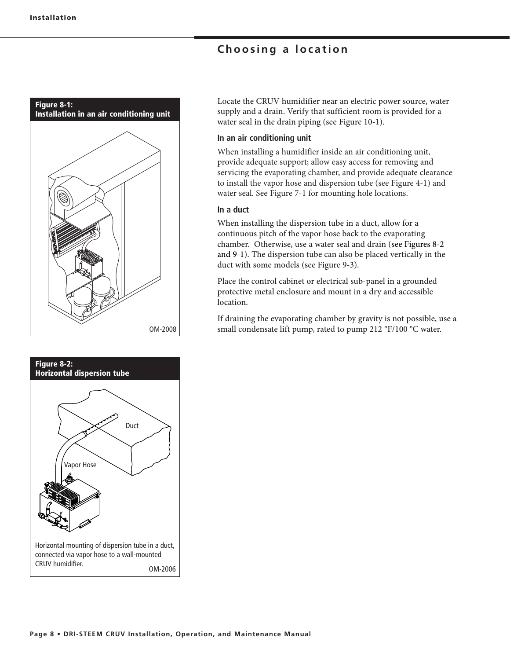## **Choosing a location**





Locate the CRUV humidifier near an electric power source, water supply and a drain. Verify that sufficient room is provided for a water seal in the drain piping (see Figure 10-1).

### **In an air conditioning unit**

When installing a humidifier inside an air conditioning unit, provide adequate support; allow easy access for removing and servicing the evaporating chamber, and provide adequate clearance to install the vapor hose and dispersion tube (see Figure 4-1) and water seal. See Figure 7-1 for mounting hole locations.

### **In a duct**

When installing the dispersion tube in a duct, allow for a continuous pitch of the vapor hose back to the evaporating chamber. Otherwise, use a water seal and drain (see Figures 8-2 and 9-1). The dispersion tube can also be placed vertically in the duct with some models (see Figure 9-3).

Place the control cabinet or electrical sub-panel in a grounded protective metal enclosure and mount in a dry and accessible location.

If draining the evaporating chamber by gravity is not possible, use a OM-2008 small condensate lift pump, rated to pump 212 °F/100 °C water.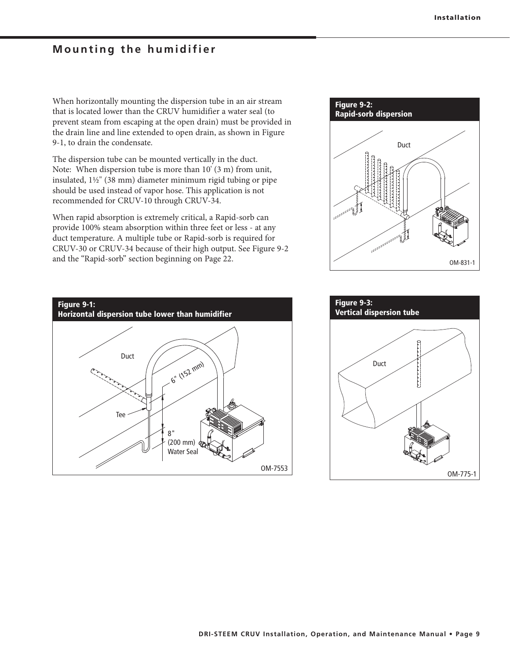### **Mounting the humidifier**

When horizontally mounting the dispersion tube in an air stream that is located lower than the CRUV humidifier a water seal (to prevent steam from escaping at the open drain) must be provided in the drain line and line extended to open drain, as shown in Figure 9-1, to drain the condensate.

The dispersion tube can be mounted vertically in the duct. Note: When dispersion tube is more than 10' (3 m) from unit, insulated, 1½" (38 mm) diameter minimum rigid tubing or pipe should be used instead of vapor hose. This application is not recommended for CRUV-10 through CRUV-34.

When rapid absorption is extremely critical, a Rapid-sorb can provide 100% steam absorption within three feet or less - at any duct temperature. A multiple tube or Rapid-sorb is required for CRUV-30 or CRUV-34 because of their high output. See Figure 9-2 and the "Rapid-sorb" section beginning on Page 22.





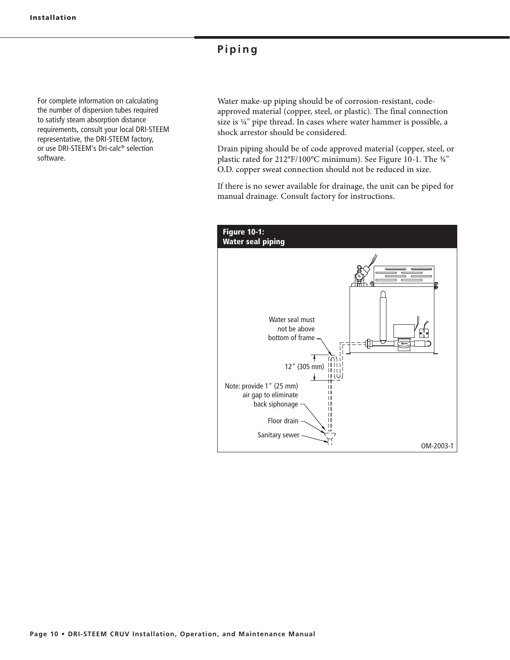### **Piping**

For complete information on calculating the number of dispersion tubes required to satisfy steam absorption distance requirements, consult your local DRI-STEEM representative, the DRI-STEEM factory, or use DRI-STEEM's Dri-calc® selection software.

Water make-up piping should be of corrosion-resistant, codeapproved material (copper, steel, or plastic). The final connection size is ¼" pipe thread. In cases where water hammer is possible, a shock arrestor should be considered.

Drain piping should be of code approved material (copper, steel, or plastic rated for 212°F/100°C minimum). See Figure 10-1. The ¾" O.D. copper sweat connection should not be reduced in size.

If there is no sewer available for drainage, the unit can be piped for manual drainage. Consult factory for instructions.

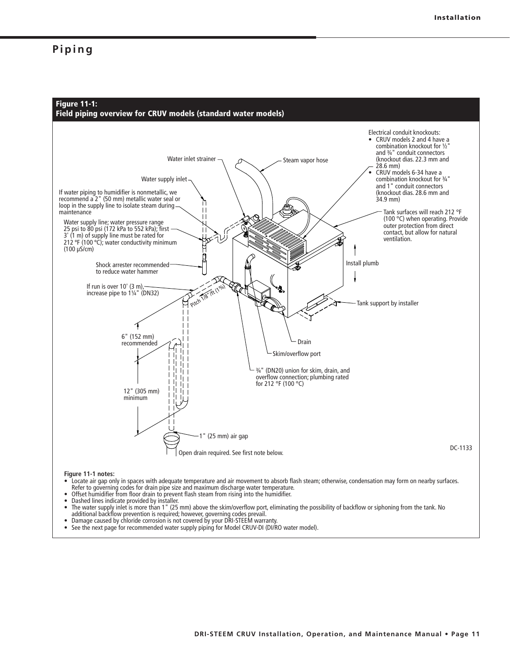### **Piping**



- Offset humidifier from floor drain to prevent flash steam from rising into the humidifier.<br>• Dashed lines indicate provided by installer
- Dashed lines indicate provided by installer.<br>• The water supply inlet is more than 1 " (25)
- The water supply inlet is more than 1 " (25 mm) above the skim/overflow port, eliminating the possibility of backflow or siphoning from the tank. No<br>additional backflow prevention is required; however, governing codes p
- Damage caused by chloride corrosion is not covered by your DRI-STEEM warranty<br>• See the next page for recommended water supply piping for Model CRUV-DI (DI/R
- See the next page for recommended water supply piping for Model CRUV-DI (DI/RO water model).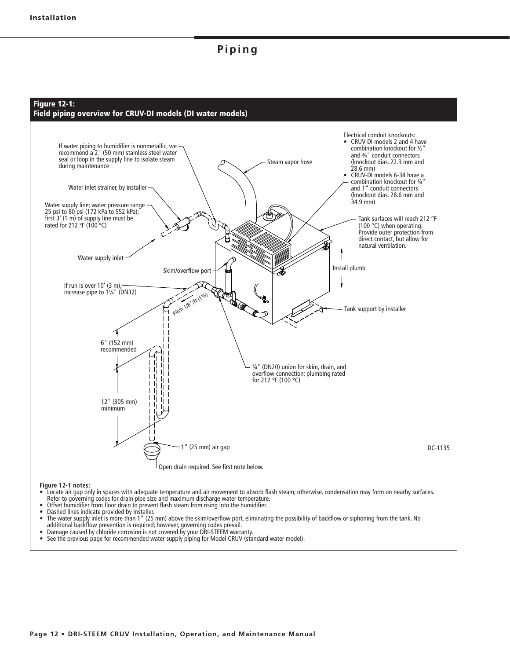### **Piping**



- Offset humidifier from floor drain to prevent flash steam from rising into the humidifier.
- Dashed lines indicate provided by installer.
- The water supply inlet is more than 1" (25 mm) above the skim/overflow port, eliminating the possibility of backflow or siphoning from the tank. No additional backflow prevention is required; however, governing codes prevail.
- Damage caused by chloride corrosion is not covered by your DRI-STEEM warranty.
- See the previous page for recommended water supply piping for Model CRUV (standard water model).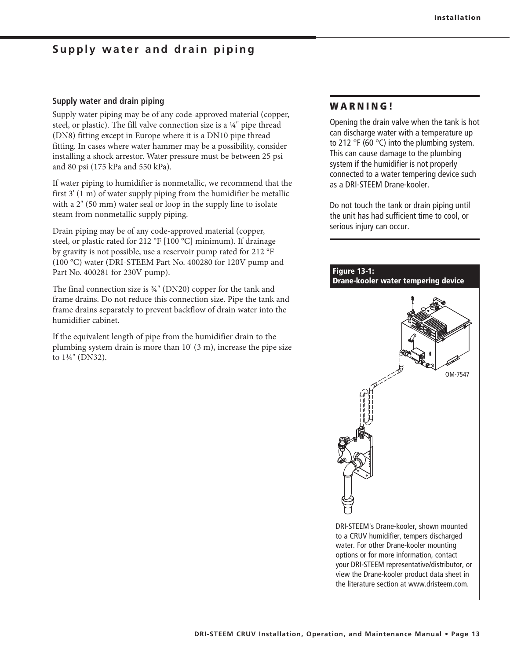### **Supply water and drain piping**

### **Supply water and drain piping**

Supply water piping may be of any code-approved material (copper, steel, or plastic). The fill valve connection size is a ¼" pipe thread (DN8) fitting except in Europe where it is a DN10 pipe thread fitting. In cases where water hammer may be a possibility, consider installing a shock arrestor. Water pressure must be between 25 psi and 80 psi (175 kPa and 550 kPa).

If water piping to humidifier is nonmetallic, we recommend that the first 3' (1 m) of water supply piping from the humidifier be metallic with a 2" (50 mm) water seal or loop in the supply line to isolate steam from nonmetallic supply piping.

Drain piping may be of any code-approved material (copper, steel, or plastic rated for 212 °F [100 °C] minimum). If drainage by gravity is not possible, use a reservoir pump rated for 212 °F (100 °C) water (DRI-STEEM Part No. 400280 for 120V pump and Part No. 400281 for 230V pump).

The final connection size is ¾" (DN20) copper for the tank and frame drains. Do not reduce this connection size. Pipe the tank and frame drains separately to prevent backflow of drain water into the humidifier cabinet.

If the equivalent length of pipe from the humidifier drain to the plumbing system drain is more than 10' (3 m), increase the pipe size to 1¼" (DN32).

### **W A R N I N G !**

Opening the drain valve when the tank is hot can discharge water with a temperature up to 212 °F (60 °C) into the plumbing system. This can cause damage to the plumbing system if the humidifier is not properly connected to a water tempering device such as a DRI-STEEM Drane-kooler.

Do not touch the tank or drain piping until the unit has had sufficient time to cool, or serious injury can occur.

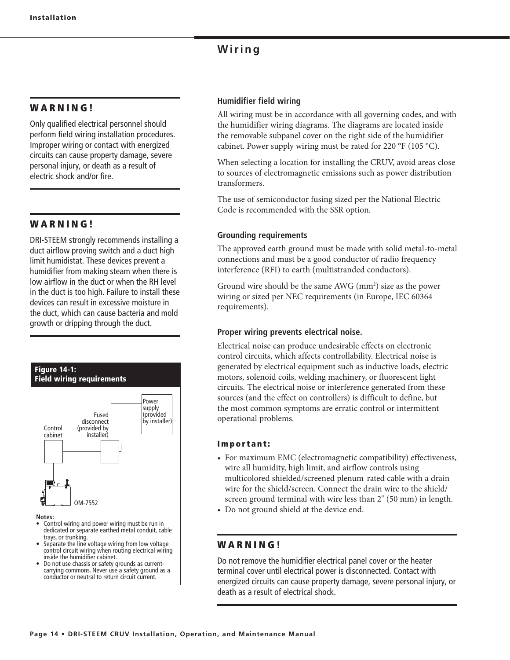### **Wiring**

### **W A R N I N G !**

Only qualified electrical personnel should perform field wiring installation procedures. Improper wiring or contact with energized circuits can cause property damage, severe personal injury, or death as a result of electric shock and/or fire.

### **W A R N I N G !**

DRI-STEEM strongly recommends installing a duct airflow proving switch and a duct high limit humidistat. These devices prevent a humidifier from making steam when there is low airflow in the duct or when the RH level in the duct is too high. Failure to install these devices can result in excessive moisture in the duct, which can cause bacteria and mold growth or dripping through the duct.



• Do not use chassis or safety grounds as current-<br>carrying commons. Never use a safety ground as a conductor or neutral to return circuit current.

### **Humidifier field wiring**

All wiring must be in accordance with all governing codes, and with the humidifier wiring diagrams. The diagrams are located inside the removable subpanel cover on the right side of the humidifier cabinet. Power supply wiring must be rated for 220 °F (105 °C).

When selecting a location for installing the CRUV, avoid areas close to sources of electromagnetic emissions such as power distribution transformers.

The use of semiconductor fusing sized per the National Electric Code is recommended with the SSR option.

### **Grounding requirements**

The approved earth ground must be made with solid metal-to-metal connections and must be a good conductor of radio frequency interference (RFI) to earth (multistranded conductors).

Ground wire should be the same AWG (mm<sup>2</sup>) size as the power wiring or sized per NEC requirements (in Europe, IEC 60364 requirements).

### **Proper wiring prevents electrical noise.**

Electrical noise can produce undesirable effects on electronic control circuits, which affects controllability. Electrical noise is generated by electrical equipment such as inductive loads, electric motors, solenoid coils, welding machinery, or fluorescent light circuits. The electrical noise or interference generated from these sources (and the effect on controllers) is difficult to define, but the most common symptoms are erratic control or intermittent operational problems.

### **Important:**

- For maximum EMC (electromagnetic compatibility) effectiveness, wire all humidity, high limit, and airflow controls using multicolored shielded/screened plenum-rated cable with a drain wire for the shield/screen. Connect the drain wire to the shield/ screen ground terminal with wire less than 2" (50 mm) in length.
- Do not ground shield at the device end.

### **W A R N I N G !**

Do not remove the humidifier electrical panel cover or the heater terminal cover until electrical power is disconnected. Contact with energized circuits can cause property damage, severe personal injury, or death as a result of electrical shock.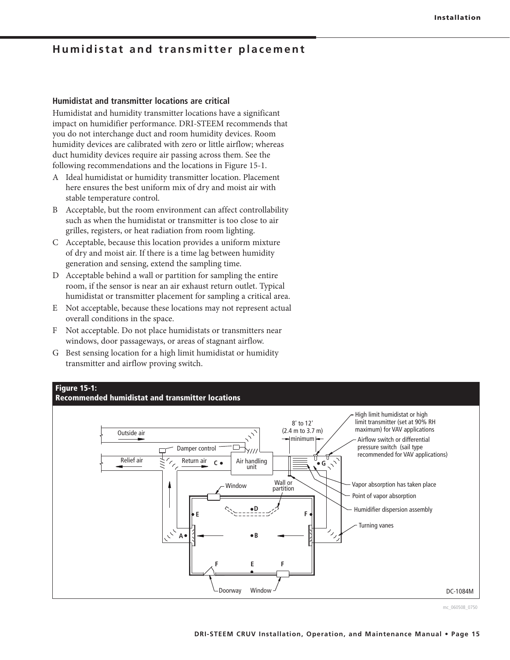### **Humidistat and transmitter placement**

### **Humidistat and transmitter locations are critical**

Humidistat and humidity transmitter locations have a significant impact on humidifier performance. DRI-STEEM recommends that you do not interchange duct and room humidity devices. Room humidity devices are calibrated with zero or little airflow; whereas duct humidity devices require air passing across them. See the following recommendations and the locations in Figure 15-1.

- A Ideal humidistat or humidity transmitter location. Placement here ensures the best uniform mix of dry and moist air with stable temperature control.
- B Acceptable, but the room environment can affect controllability such as when the humidistat or transmitter is too close to air grilles, registers, or heat radiation from room lighting.
- C Acceptable, because this location provides a uniform mixture of dry and moist air. If there is a time lag between humidity generation and sensing, extend the sampling time.
- D Acceptable behind a wall or partition for sampling the entire room, if the sensor is near an air exhaust return outlet. Typical humidistat or transmitter placement for sampling a critical area.
- E Not acceptable, because these locations may not represent actual overall conditions in the space.
- F Not acceptable. Do not place humidistats or transmitters near windows, door passageways, or areas of stagnant airflow.
- G Best sensing location for a high limit humidistat or humidity transmitter and airflow proving switch.

### **Figure 15-1:**





mc\_060508\_0750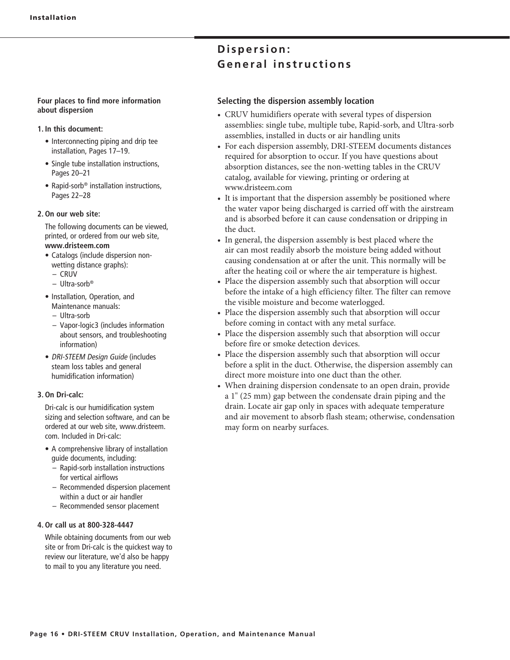#### **Four places to find more information about dispersion**

#### **1. In this document:**

- Interconnecting piping and drip tee installation, Pages 17–19.
- Single tube installation instructions, Pages 20–21
- Rapid-sorb<sup>®</sup> installation instructions, Pages 22–28

#### **2. On our web site:**

 The following documents can be viewed, printed, or ordered from our web site, **www.dristeem.com**

- Catalogs (include dispersion nonwetting distance graphs):
	- CRUV
	- Ultra-sorb®
- Installation, Operation, and Maintenance manuals:
	- Ultra-sorb
	- Vapor-logic3 (includes information about sensors, and troubleshooting information)
- DRI-STEEM Design Guide (includes steam loss tables and general humidification information)

#### **3. On Dri-calc:**

 Dri-calc is our humidification system sizing and selection software, and can be ordered at our web site, www.dristeem. com. Included in Dri-calc:

- A comprehensive library of installation guide documents, including:
	- Rapid-sorb installation instructions for vertical airflows
	- Recommended dispersion placement within a duct or air handler
	- Recommended sensor placement

#### **4. Or call us at 800-328-4447**

 While obtaining documents from our web site or from Dri-calc is the quickest way to review our literature, we'd also be happy to mail to you any literature you need.

## $Disperson:$ **General instructions**

### **Selecting the dispersion assembly location**

- CRUV humidifiers operate with several types of dispersion assemblies: single tube, multiple tube, Rapid-sorb, and Ultra-sorb assemblies, installed in ducts or air handling units
- For each dispersion assembly, DRI-STEEM documents distances required for absorption to occur. If you have questions about absorption distances, see the non-wetting tables in the CRUV catalog, available for viewing, printing or ordering at www.dristeem.com
- It is important that the dispersion assembly be positioned where the water vapor being discharged is carried off with the airstream and is absorbed before it can cause condensation or dripping in the duct.
- In general, the dispersion assembly is best placed where the air can most readily absorb the moisture being added without causing condensation at or after the unit. This normally will be after the heating coil or where the air temperature is highest.
- Place the dispersion assembly such that absorption will occur before the intake of a high efficiency filter. The filter can remove the visible moisture and become waterlogged.
- Place the dispersion assembly such that absorption will occur before coming in contact with any metal surface.
- Place the dispersion assembly such that absorption will occur before fire or smoke detection devices.
- Place the dispersion assembly such that absorption will occur before a split in the duct. Otherwise, the dispersion assembly can direct more moisture into one duct than the other.
- When draining dispersion condensate to an open drain, provide a 1" (25 mm) gap between the condensate drain piping and the drain. Locate air gap only in spaces with adequate temperature and air movement to absorb flash steam; otherwise, condensation may form on nearby surfaces.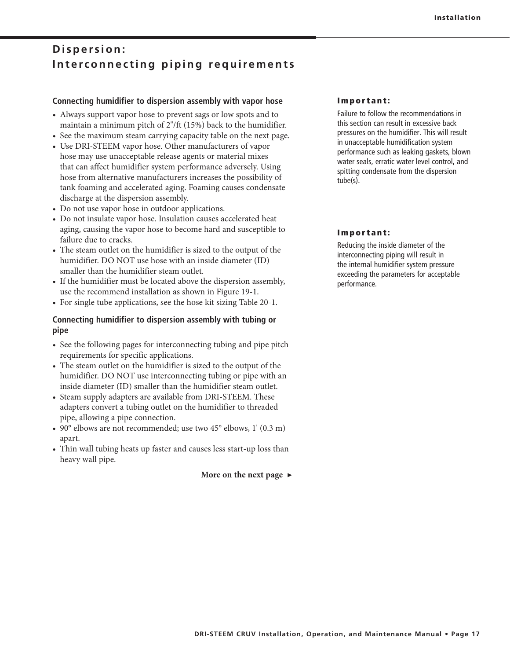## Dispersion: Interconnecting piping requirements

### **Connecting humidifier to dispersion assembly with vapor hose**

- Always support vapor hose to prevent sags or low spots and to maintain a minimum pitch of 2"/ft (15%) back to the humidifier.
- See the maximum steam carrying capacity table on the next page.
- Use DRI-STEEM vapor hose. Other manufacturers of vapor hose may use unacceptable release agents or material mixes that can affect humidifier system performance adversely. Using hose from alternative manufacturers increases the possibility of tank foaming and accelerated aging. Foaming causes condensate discharge at the dispersion assembly.
- Do not use vapor hose in outdoor applications.
- Do not insulate vapor hose. Insulation causes accelerated heat aging, causing the vapor hose to become hard and susceptible to failure due to cracks.
- The steam outlet on the humidifier is sized to the output of the humidifier. DO NOT use hose with an inside diameter (ID) smaller than the humidifier steam outlet.
- If the humidifier must be located above the dispersion assembly, use the recommend installation as shown in Figure 19-1.
- For single tube applications, see the hose kit sizing Table 20-1.

### **Connecting humidifier to dispersion assembly with tubing or pipe**

- See the following pages for interconnecting tubing and pipe pitch requirements for specific applications.
- The steam outlet on the humidifier is sized to the output of the humidifier. DO NOT use interconnecting tubing or pipe with an inside diameter (ID) smaller than the humidifier steam outlet.
- Steam supply adapters are available from DRI-STEEM. These adapters convert a tubing outlet on the humidifier to threaded pipe, allowing a pipe connection.
- 90 $\degree$  elbows are not recommended; use two 45 $\degree$  elbows, 1' (0.3 m) apart.
- Thin wall tubing heats up faster and causes less start-up loss than heavy wall pipe.

**More on the next page ▶**

### **Important:**

Failure to follow the recommendations in this section can result in excessive back pressures on the humidifier. This will result in unacceptable humidification system performance such as leaking gaskets, blown water seals, erratic water level control, and spitting condensate from the dispersion tube(s).

### **Important:**

Reducing the inside diameter of the interconnecting piping will result in the internal humidifier system pressure exceeding the parameters for acceptable performance.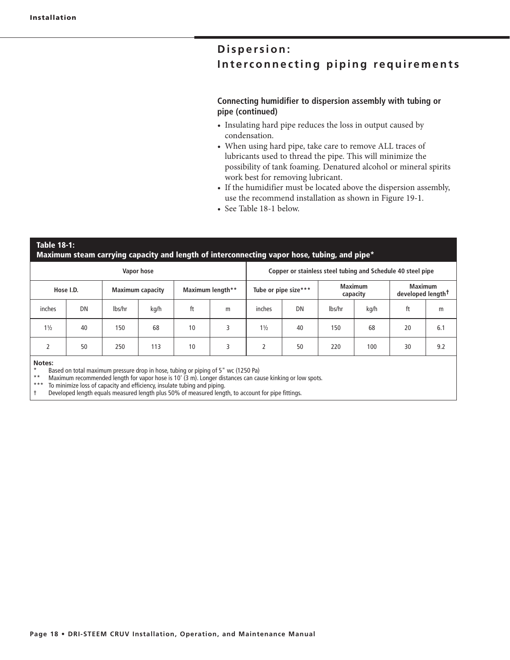## $Disperson:$ Interconnecting piping requirements

### **Connecting humidifier to dispersion assembly with tubing or pipe (continued)**

- Insulating hard pipe reduces the loss in output caused by condensation.
- When using hard pipe, take care to remove ALL traces of lubricants used to thread the pipe. This will minimize the possibility of tank foaming. Denatured alcohol or mineral spirits work best for removing lubricant.
- If the humidifier must be located above the dispersion assembly, use the recommend installation as shown in Figure 19-1.
- See Table 18-1 below.

### **Table 18-1: Maximum steam carrying capacity and length of interconnecting vapor hose, tubing, and pipe\***

| Vapor hose                           |                                                                                                                                                                                               |                  |      |                      | Copper or stainless steel tubing and Schedule 40 steel pipe |                            |    |                                                 |      |    |     |
|--------------------------------------|-----------------------------------------------------------------------------------------------------------------------------------------------------------------------------------------------|------------------|------|----------------------|-------------------------------------------------------------|----------------------------|----|-------------------------------------------------|------|----|-----|
| Hose I.D.<br><b>Maximum capacity</b> |                                                                                                                                                                                               | Maximum length** |      | Tube or pipe size*** |                                                             | <b>Maximum</b><br>capacity |    | <b>Maximum</b><br>developed length <sup>+</sup> |      |    |     |
| inches                               | DN                                                                                                                                                                                            | lbs/hr           | kg/h | ft                   | m                                                           | inches                     | DN | lbs/hr                                          | kg/h | ft | m   |
| $1\frac{1}{2}$                       | 40                                                                                                                                                                                            | 150              | 68   | 10                   | 3                                                           | $1\frac{1}{2}$             | 40 | 150                                             | 68   | 20 | 6.1 |
|                                      | 50                                                                                                                                                                                            | 250              | 113  | 10                   | 3                                                           | $\overline{2}$             | 50 | 220                                             | 100  | 30 | 9.2 |
| Notes:<br>$* *$<br>*** *             | Based on total maximum pressure drop in hose, tubing or piping of 5" wc (1250 Pa)<br>Maximum recommended length for vapor hose is 10' (3 m). Longer distances can cause kinking or low spots. |                  |      |                      |                                                             |                            |    |                                                 |      |    |     |

To minimize loss of capacity and efficiency, insulate tubing and piping.

Developed length equals measured length plus 50% of measured length, to account for pipe fittings.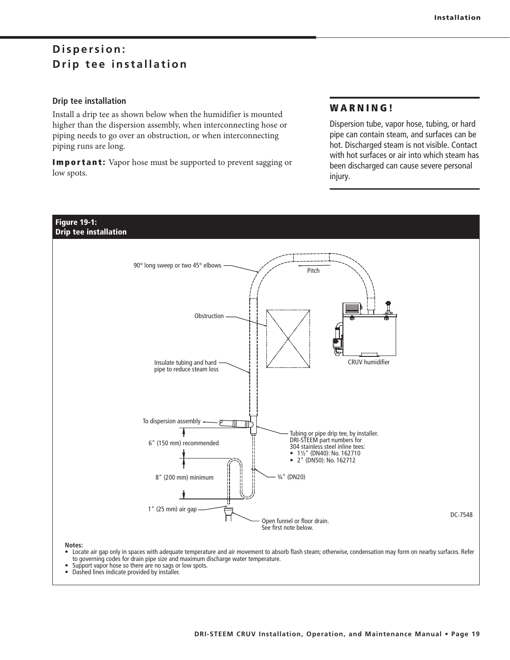## $Disperson:$ **Drip tee installation**

### **Drip tee installation**

Install a drip tee as shown below when the humidifier is mounted higher than the dispersion assembly, when interconnecting hose or piping needs to go over an obstruction, or when interconnecting piping runs are long.

**Important:** Vapor hose must be supported to prevent sagging or low spots.

### **WARNING!**

Dispersion tube, vapor hose, tubing, or hard pipe can contain steam, and surfaces can be hot. Discharged steam is not visible. Contact with hot surfaces or air into which steam has been discharged can cause severe personal injury.



• Locate air qap only in spaces with adequate temperature and air movement to absorb flash steam; otherwise, condensation may form on nearby surfaces. Refer to governing codes for drain pipe size and maximum discharge water temperature.

- Support vapor hose so there are no sags or low spots.<br>• Dashed lines indicate provided by installer
- Dashed lines indicate provided by installer.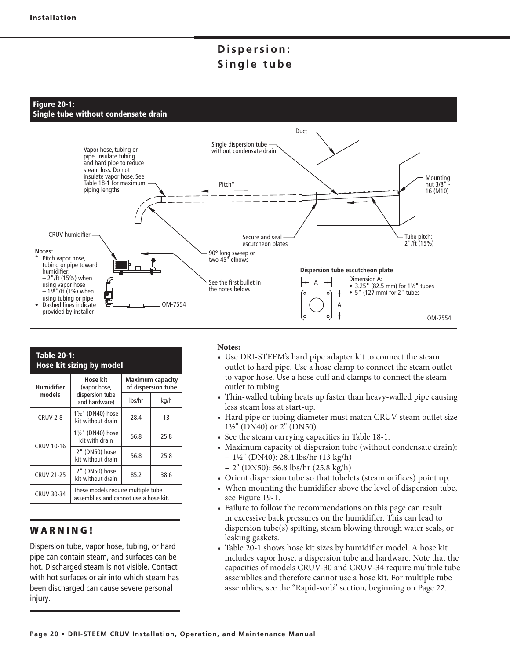## $Disperson:$ Single tube



| <b>Table 20-1:</b><br><b>Hose kit sizing by model</b> |                                                                             |                                        |      |  |  |  |  |  |  |
|-------------------------------------------------------|-----------------------------------------------------------------------------|----------------------------------------|------|--|--|--|--|--|--|
| Humidifier                                            | Hose kit<br>(vapor hose,                                                    | Maximum capacity<br>of dispersion tube |      |  |  |  |  |  |  |
| models                                                | dispersion tube<br>and hardware)                                            | lbs/hr                                 | kg/h |  |  |  |  |  |  |
| <b>CRUV 2-8</b>                                       | 11/2" (DN40) hose<br>kit without drain                                      | 28.4                                   | 13   |  |  |  |  |  |  |
|                                                       | 11/2" (DN40) hose<br>kit with drain                                         | 56.8                                   | 25.8 |  |  |  |  |  |  |
| <b>CRUV 10-16</b>                                     | 2" (DN50) hose<br>kit without drain                                         | 56.8                                   | 25.8 |  |  |  |  |  |  |
| <b>CRUV 21-25</b>                                     | 2" (DN50) hose<br>kit without drain                                         | 85.2                                   | 38.6 |  |  |  |  |  |  |
| <b>CRUV 30-34</b>                                     | These models require multiple tube<br>assemblies and cannot use a hose kit. |                                        |      |  |  |  |  |  |  |

### **WARNING!**

Dispersion tube, vapor hose, tubing, or hard pipe can contain steam, and surfaces can be hot. Discharged steam is not visible. Contact with hot surfaces or air into which steam has been discharged can cause severe personal injury.

### **Notes:**

- Use DRI-STEEM's hard pipe adapter kit to connect the steam outlet to hard pipe. Use a hose clamp to connect the steam outlet to vapor hose. Use a hose cuff and clamps to connect the steam outlet to tubing.
- Thin-walled tubing heats up faster than heavy-walled pipe causing less steam loss at start-up.
- Hard pipe or tubing diameter must match CRUV steam outlet size 1½" (DN40) or 2" (DN50).
- See the steam carrying capacities in Table 18-1.
- Maximum capacity of dispersion tube (without condensate drain):  $-1\frac{1}{2}$ " (DN40): 28.4 lbs/hr (13 kg/h)
- 2" (DN50): 56.8 lbs/hr (25.8 kg/h)
- Orient dispersion tube so that tubelets (steam orifices) point up.
- When mounting the humidifier above the level of dispersion tube, see Figure 19-1.
- Failure to follow the recommendations on this page can result in excessive back pressures on the humidifier. This can lead to dispersion tube(s) spitting, steam blowing through water seals, or leaking gaskets.
- Table 20-1 shows hose kit sizes by humidifier model. A hose kit includes vapor hose, a dispersion tube and hardware. Note that the capacities of models CRUV-30 and CRUV-34 require multiple tube assemblies and therefore cannot use a hose kit. For multiple tube assemblies, see the "Rapid-sorb" section, beginning on Page 22.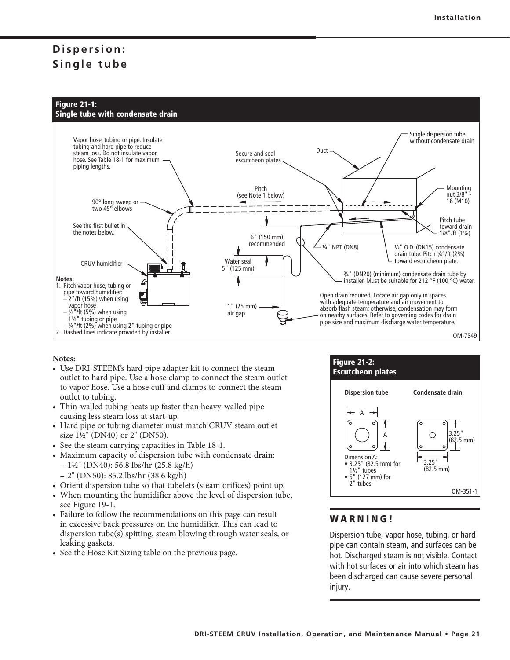## $Disperson:$ Single tube



### **Notes:**

- Use DRI-STEEM's hard pipe adapter kit to connect the steam outlet to hard pipe. Use a hose clamp to connect the steam outlet to vapor hose. Use a hose cuff and clamps to connect the steam outlet to tubing.
- Thin-walled tubing heats up faster than heavy-walled pipe causing less steam loss at start-up.
- Hard pipe or tubing diameter must match CRUV steam outlet size 1½" (DN40) or 2" (DN50).
- See the steam carrying capacities in Table 18-1.
- Maximum capacity of dispersion tube with condensate drain:  $-1\frac{1}{2}$ " (DN40): 56.8 lbs/hr (25.8 kg/h)
	- 2" (DN50): 85.2 lbs/hr (38.6 kg/h)
- Orient dispersion tube so that tubelets (steam orifices) point up.
- When mounting the humidifier above the level of dispersion tube, see Figure 19-1.
- Failure to follow the recommendations on this page can result in excessive back pressures on the humidifier. This can lead to dispersion tube(s) spitting, steam blowing through water seals, or leaking gaskets.
- See the Hose Kit Sizing table on the previous page.



### **WARNING!**

Dispersion tube, vapor hose, tubing, or hard pipe can contain steam, and surfaces can be hot. Discharged steam is not visible. Contact with hot surfaces or air into which steam has been discharged can cause severe personal injury.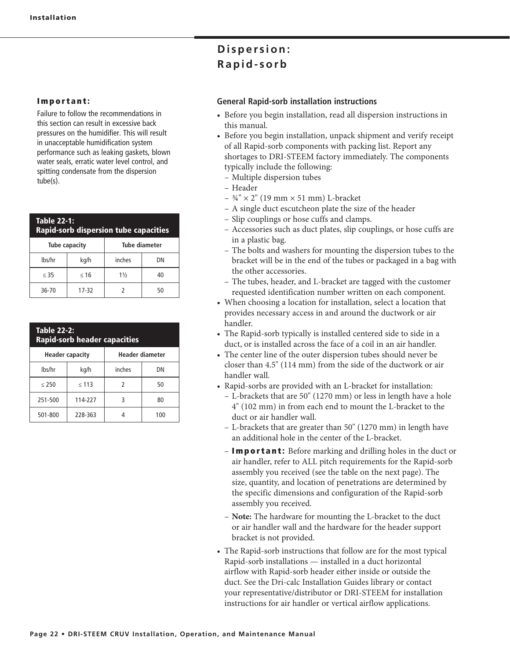#### **Important:**

Failure to follow the recommendations in this section can result in excessive back pressures on the humidifier. This will result in unacceptable humidification system performance such as leaking gaskets, blown water seals, erratic water level control, and spitting condensate from the dispersion tube(s).

| <b>Table 22-1:</b><br><b>Rapid-sorb dispersion tube capacities</b> |           |                |    |  |  |  |  |  |  |
|--------------------------------------------------------------------|-----------|----------------|----|--|--|--|--|--|--|
| Tube diameter<br>Tube capacity                                     |           |                |    |  |  |  |  |  |  |
| lbs/hr                                                             | kg/h      | inches         | DN |  |  |  |  |  |  |
| < 35                                                               | $\leq 16$ | $1\frac{1}{2}$ | 40 |  |  |  |  |  |  |
| 36-70                                                              | 17-32     |                | 50 |  |  |  |  |  |  |

| <b>Table 22-2:</b><br><b>Rapid-sorb header capacities</b> |            |        |     |  |  |  |  |  |  |
|-----------------------------------------------------------|------------|--------|-----|--|--|--|--|--|--|
| Header diameter<br><b>Header capacity</b>                 |            |        |     |  |  |  |  |  |  |
| lbs/hr                                                    | kg/h       | inches | DN  |  |  |  |  |  |  |
| < 250                                                     | $\leq 113$ | 2      | 50  |  |  |  |  |  |  |
| 251-500                                                   | 114-227    | 3      | 80  |  |  |  |  |  |  |
| 501-800                                                   | 228-363    |        | 100 |  |  |  |  |  |  |

## $Disperson:$ Rapid-sorb

### **General Rapid-sorb installation instructions**

- Before you begin installation, read all dispersion instructions in this manual.
- Before you begin installation, unpack shipment and verify receipt of all Rapid-sorb components with packing list. Report any shortages to DRI-STEEM factory immediately. The components typically include the following:
	- Multiple dispersion tubes
	- Header
- $\frac{3}{4}$ "  $\times$  2" (19 mm  $\times$  51 mm) L-bracket
- A single duct escutcheon plate the size of the header
- Slip couplings or hose cuffs and clamps.
- Accessories such as duct plates, slip couplings, or hose cuffs are in a plastic bag.
- The bolts and washers for mounting the dispersion tubes to the bracket will be in the end of the tubes or packaged in a bag with the other accessories.
- The tubes, header, and L-bracket are tagged with the customer requested identification number written on each component.
- When choosing a location for installation, select a location that provides necessary access in and around the ductwork or air handler.
- The Rapid-sorb typically is installed centered side to side in a duct, or is installed across the face of a coil in an air handler.
- The center line of the outer dispersion tubes should never be closer than 4.5" (114 mm) from the side of the ductwork or air handler wall.
- Rapid-sorbs are provided with an L-bracket for installation:
	- L-brackets that are 50" (1270 mm) or less in length have a hole 4" (102 mm) in from each end to mount the L-bracket to the duct or air handler wall.
	- L-brackets that are greater than 50" (1270 mm) in length have an additional hole in the center of the L-bracket.
	- **Important:** Before marking and drilling holes in the duct or air handler, refer to ALL pitch requirements for the Rapid-sorb assembly you received (see the table on the next page). The size, quantity, and location of penetrations are determined by the specific dimensions and configuration of the Rapid-sorb assembly you received.
	- **Note:** The hardware for mounting the L-bracket to the duct or air handler wall and the hardware for the header support bracket is not provided.
- The Rapid-sorb instructions that follow are for the most typical Rapid-sorb installations — installed in a duct horizontal airflow with Rapid-sorb header either inside or outside the duct. See the Dri-calc Installation Guides library or contact your representative/distributor or DRI-STEEM for installation instructions for air handler or vertical airflow applications.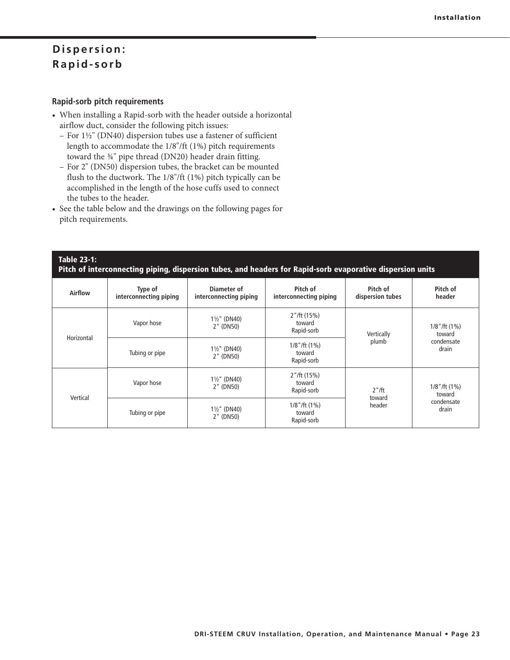### **Rapid-sorb pitch requirements**

- When installing a Rapid-sorb with the header outside a horizontal airflow duct, consider the following pitch issues:
	- For 1½" (DN40) dispersion tubes use a fastener of sufficient length to accommodate the 1/8"/ft (1%) pitch requirements toward the ¾" pipe thread (DN20) header drain fitting.
	- For 2" (DN50) dispersion tubes, the bracket can be mounted flush to the ductwork. The 1/8"/ft (1%) pitch typically can be accomplished in the length of the hose cuffs used to connect the tubes to the header.
- See the table below and the drawings on the following pages for pitch requirements.

### **Table 23-1: Pitch of interconnecting piping, dispersion tubes, and headers for Rapid-sorb evaporative dispersion units**

| <b>Airflow</b> | Type of<br>interconnecting piping                  | Diameter of<br>interconnecting piping | Pitch of<br>interconnecting piping        | Pitch of<br>dispersion tubes | Pitch of<br>header           |  |
|----------------|----------------------------------------------------|---------------------------------------|-------------------------------------------|------------------------------|------------------------------|--|
| Horizontal     | Vapor hose                                         | $1\frac{1}{2}$ " (DN40)<br>2" (DN50)  | 2''/ft(15%)<br>toward<br>Rapid-sorb       | Vertically                   | $1/8$ "/ft $(1%)$<br>toward  |  |
|                | Tubing or pipe                                     | $1\frac{1}{2}$ " (DN40)<br>2" (DN50)  | $1/8$ "/ft $(1%)$<br>toward<br>Rapid-sorb |                              | condensate<br>drain          |  |
| Vertical       | $1\frac{1}{2}$ " (DN40)<br>Vapor hose<br>2" (DN50) |                                       | 2''/ft(15%)<br>toward<br>Rapid-sorb       | $2"$ /ft                     | $1/8$ "/ft $(1\%)$<br>toward |  |
|                | Tubing or pipe                                     | $1\frac{1}{2}$ " (DN40)<br>2" (DN50)  | $1/8$ "/ft $(1%)$<br>toward<br>Rapid-sorb | toward<br>header             | condensate<br>drain          |  |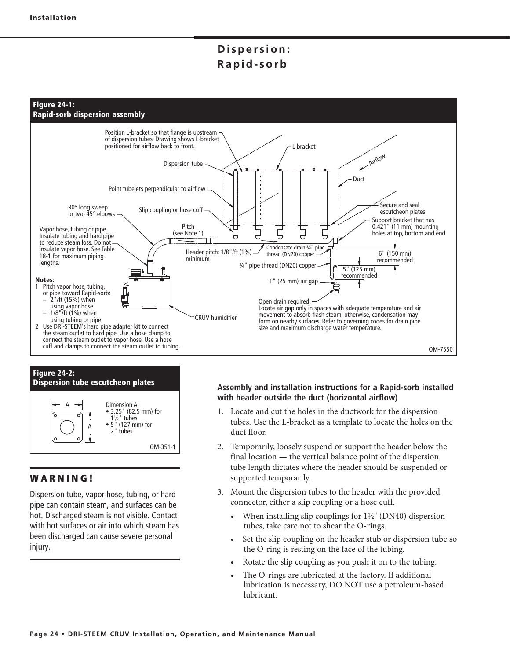



### **WARNING!**

Dispersion tube, vapor hose, tubing, or hard pipe can contain steam, and surfaces can be hot. Discharged steam is not visible. Contact with hot surfaces or air into which steam has been discharged can cause severe personal injury.

### **Assembly and installation instructions for a Rapid-sorb installed with header outside the duct (horizontal airflow)**

- 1. Locate and cut the holes in the ductwork for the dispersion tubes. Use the L-bracket as a template to locate the holes on the duct floor.
- 2. Temporarily, loosely suspend or support the header below the final location — the vertical balance point of the dispersion tube length dictates where the header should be suspended or supported temporarily.
- 3. Mount the dispersion tubes to the header with the provided connector, either a slip coupling or a hose cuff.
	- When installing slip couplings for  $1\frac{1}{2}$ " (DN40) dispersion tubes, take care not to shear the O-rings.
	- Set the slip coupling on the header stub or dispersion tube so the O-ring is resting on the face of the tubing.
	- Rotate the slip coupling as you push it on to the tubing.
	- The O-rings are lubricated at the factory. If additional lubrication is necessary, DO NOT use a petroleum-based lubricant.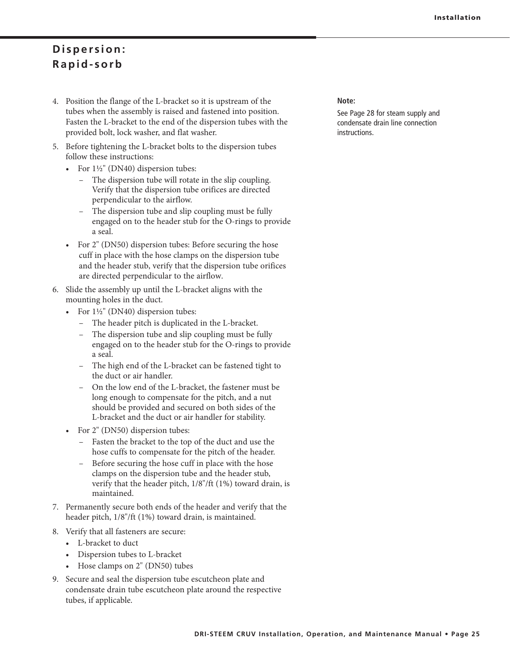- 4. Position the flange of the L-bracket so it is upstream of the tubes when the assembly is raised and fastened into position. Fasten the L-bracket to the end of the dispersion tubes with the provided bolt, lock washer, and flat washer.
- 5. Before tightening the L-bracket bolts to the dispersion tubes follow these instructions:
	- For  $1\frac{1}{2}$ " (DN40) dispersion tubes:
		- The dispersion tube will rotate in the slip coupling. Verify that the dispersion tube orifices are directed perpendicular to the airflow.
		- The dispersion tube and slip coupling must be fully engaged on to the header stub for the O-rings to provide a seal.
	- For 2" (DN50) dispersion tubes: Before securing the hose cuff in place with the hose clamps on the dispersion tube and the header stub, verify that the dispersion tube orifices are directed perpendicular to the airflow.
- 6. Slide the assembly up until the L-bracket aligns with the mounting holes in the duct.
	- For  $1\frac{1}{2}$ " (DN40) dispersion tubes:
		- The header pitch is duplicated in the L-bracket.
		- The dispersion tube and slip coupling must be fully engaged on to the header stub for the O-rings to provide a seal.
		- The high end of the L-bracket can be fastened tight to the duct or air handler.
		- On the low end of the L-bracket, the fastener must be long enough to compensate for the pitch, and a nut should be provided and secured on both sides of the L-bracket and the duct or air handler for stability.
	- For 2" (DN50) dispersion tubes:
		- Fasten the bracket to the top of the duct and use the hose cuffs to compensate for the pitch of the header.
		- Before securing the hose cuff in place with the hose clamps on the dispersion tube and the header stub, verify that the header pitch, 1/8"/ft (1%) toward drain, is maintained.
- 7. Permanently secure both ends of the header and verify that the header pitch, 1/8"/ft (1%) toward drain, is maintained.
- 8. Verify that all fasteners are secure:
	- L-bracket to duct
	- Dispersion tubes to L-bracket
	- Hose clamps on 2" (DN50) tubes
- 9. Secure and seal the dispersion tube escutcheon plate and condensate drain tube escutcheon plate around the respective tubes, if applicable.

### **Note:**

See Page 28 for steam supply and condensate drain line connection instructions.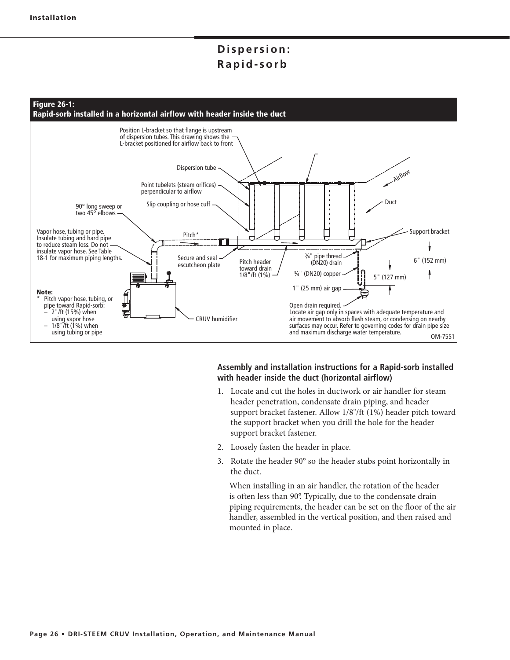

### **Assembly and installation instructions for a Rapid-sorb installed with header inside the duct (horizontal airflow)**

- 1. Locate and cut the holes in ductwork or air handler for steam header penetration, condensate drain piping, and header support bracket fastener. Allow 1/8"/ft (1%) header pitch toward the support bracket when you drill the hole for the header support bracket fastener.
- 2. Loosely fasten the header in place.
- 3. Rotate the header 90° so the header stubs point horizontally in the duct.

When installing in an air handler, the rotation of the header is often less than 90°. Typically, due to the condensate drain piping requirements, the header can be set on the floor of the air handler, assembled in the vertical position, and then raised and mounted in place.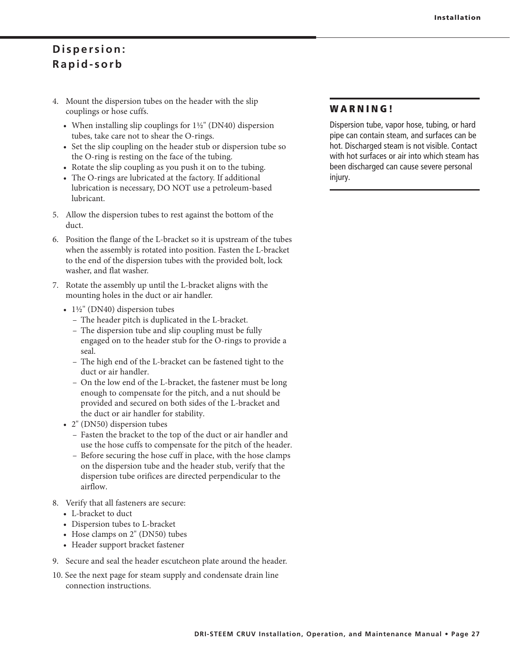- 4. Mount the dispersion tubes on the header with the slip couplings or hose cuffs.
- When installing slip couplings for  $1\frac{1}{2}$ " (DN40) dispersion tubes, take care not to shear the O-rings.
	- Set the slip coupling on the header stub or dispersion tube so the O-ring is resting on the face of the tubing.
	- Rotate the slip coupling as you push it on to the tubing.
	- The O-rings are lubricated at the factory. If additional lubrication is necessary, DO NOT use a petroleum-based lubricant.
- 5. Allow the dispersion tubes to rest against the bottom of the duct.
- 6. Position the flange of the L-bracket so it is upstream of the tubes when the assembly is rotated into position. Fasten the L-bracket to the end of the dispersion tubes with the provided bolt, lock washer, and flat washer.
- 7. Rotate the assembly up until the L-bracket aligns with the mounting holes in the duct or air handler.
- $1\frac{1}{2}$ " (DN40) dispersion tubes
	- The header pitch is duplicated in the L-bracket.
	- The dispersion tube and slip coupling must be fully engaged on to the header stub for the O-rings to provide a seal.
	- The high end of the L-bracket can be fastened tight to the duct or air handler.
	- On the low end of the L-bracket, the fastener must be long enough to compensate for the pitch, and a nut should be provided and secured on both sides of the L-bracket and the duct or air handler for stability.
- 2" (DN50) dispersion tubes
	- Fasten the bracket to the top of the duct or air handler and use the hose cuffs to compensate for the pitch of the header.
	- Before securing the hose cuff in place, with the hose clamps on the dispersion tube and the header stub, verify that the dispersion tube orifices are directed perpendicular to the airflow.
- 8. Verify that all fasteners are secure:
	- L-bracket to duct
	- Dispersion tubes to L-bracket
- Hose clamps on  $2"$  (DN50) tubes
	- Header support bracket fastener
- 9. Secure and seal the header escutcheon plate around the header.
- 10. See the next page for steam supply and condensate drain line connection instructions.

### **WARNING!**

Dispersion tube, vapor hose, tubing, or hard pipe can contain steam, and surfaces can be hot. Discharged steam is not visible. Contact with hot surfaces or air into which steam has been discharged can cause severe personal injury.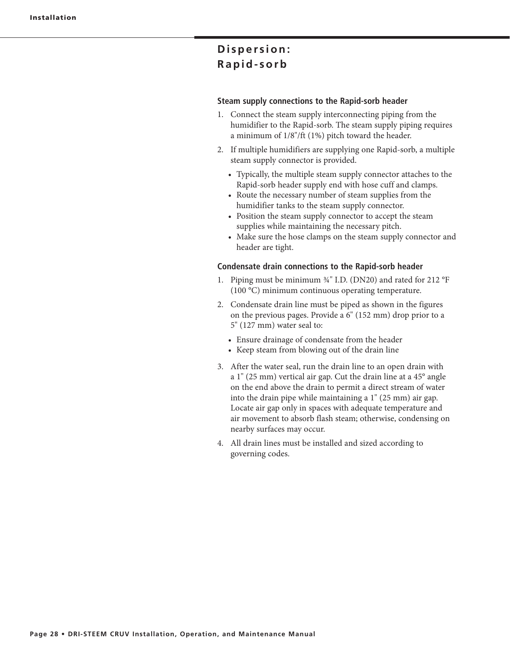### **Steam supply connections to the Rapid-sorb header**

- 1. Connect the steam supply interconnecting piping from the humidifier to the Rapid-sorb. The steam supply piping requires a minimum of 1/8"/ft (1%) pitch toward the header.
- 2. If multiple humidifiers are supplying one Rapid-sorb, a multiple steam supply connector is provided.
	- Typically, the multiple steam supply connector attaches to the Rapid-sorb header supply end with hose cuff and clamps.
	- Route the necessary number of steam supplies from the humidifier tanks to the steam supply connector.
	- Position the steam supply connector to accept the steam supplies while maintaining the necessary pitch.
	- Make sure the hose clamps on the steam supply connector and header are tight.

#### **Condensate drain connections to the Rapid-sorb header**

- 1. Piping must be minimum ¾" I.D. (DN20) and rated for 212 °F (100 °C) minimum continuous operating temperature.
- 2. Condensate drain line must be piped as shown in the figures on the previous pages. Provide a 6" (152 mm) drop prior to a 5" (127 mm) water seal to:
	- Ensure drainage of condensate from the header
	- Keep steam from blowing out of the drain line
- 3. After the water seal, run the drain line to an open drain with a 1" (25 mm) vertical air gap. Cut the drain line at a 45° angle on the end above the drain to permit a direct stream of water into the drain pipe while maintaining a 1" (25 mm) air gap. Locate air gap only in spaces with adequate temperature and air movement to absorb flash steam; otherwise, condensing on nearby surfaces may occur.
- 4. All drain lines must be installed and sized according to governing codes.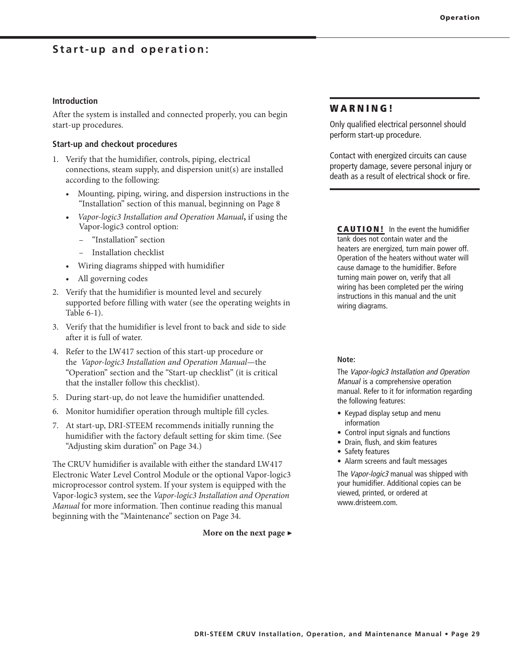### **Start-up and operation:**

### **Introduction**

After the system is installed and connected properly, you can begin start-up procedures.

### **Start-up and checkout procedures**

- 1. Verify that the humidifier, controls, piping, electrical connections, steam supply, and dispersion unit(s) are installed according to the following:
	- Mounting, piping, wiring, and dispersion instructions in the "Installation" section of this manual, beginning on Page 8
	- **t** *Vapor-logic3 Installation and Operation Manual***,** if using the Vapor-logic3 control option:
		- "Installation" section
		- Installation checklist
	- Wiring diagrams shipped with humidifier
	- All governing codes
- 2. Verify that the humidifier is mounted level and securely supported before filling with water (see the operating weights in Table 6-1).
- 3. Verify that the humidifier is level front to back and side to side after it is full of water.
- 4. Refer to the LW417 section of this start-up procedure or the *Vapor-logic3 Installation and Operation Manual*—the "Operation" section and the "Start-up checklist" (it is critical that the installer follow this checklist).
- 5. During start-up, do not leave the humidifier unattended.
- 6. Monitor humidifier operation through multiple fill cycles.
- 7. At start-up, DRI-STEEM recommends initially running the humidifier with the factory default setting for skim time. (See "Adjusting skim duration" on Page 34.)

The CRUV humidifier is available with either the standard LW417 Electronic Water Level Control Module or the optional Vapor-logic3 microprocessor control system. If your system is equipped with the Vapor-logic3 system, see the *Vapor-logic3 Installation and Operation Manual* for more information. Then continue reading this manual beginning with the "Maintenance" section on Page 34.

**More on the next page ▶**

### **WARNING!**

Only qualified electrical personnel should perform start-up procedure.

Contact with energized circuits can cause property damage, severe personal injury or death as a result of electrical shock or fire.

**CAUTION!** In the event the humidifier tank does not contain water and the heaters are energized, turn main power off. Operation of the heaters without water will cause damage to the humidifier. Before turning main power on, verify that all wiring has been completed per the wiring instructions in this manual and the unit wiring diagrams.

#### **Note:**

The Vapor-logic3 Installation and Operation Manual is a comprehensive operation manual. Refer to it for information regarding the following features:

- $\bullet$  Keypad display setup and menu information
- Control input signals and functions
- Drain, flush, and skim features
- Safety features
- Alarm screens and fault messages

The Vapor-logic3 manual was shipped with your humidifier. Additional copies can be viewed, printed, or ordered at www.dristeem.com.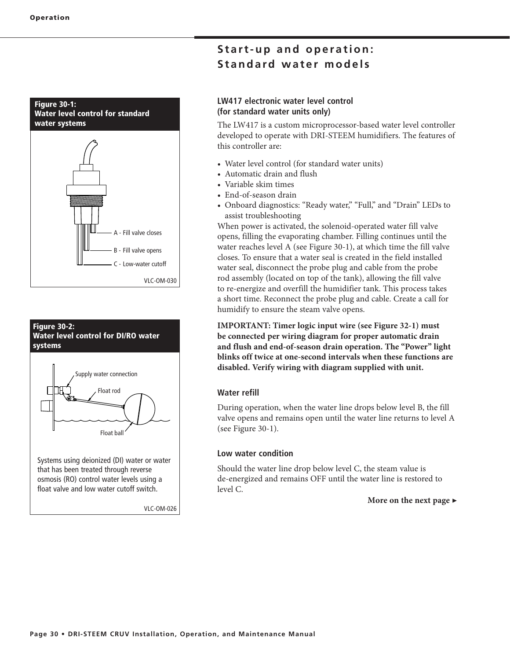#### **Figure 30-1: Water level control for standard water systems**





## **Start-up and operation: Standard water models**

### **LW417 electronic water level control (for standard water units only)**

The LW417 is a custom microprocessor-based water level controller developed to operate with DRI-STEEM humidifiers. The features of this controller are:

- Water level control (for standard water units)
- Automatic drain and flush
- Variable skim times
- End-of-season drain
- Onboard diagnostics: "Ready water," "Full," and "Drain" LEDs to assist troubleshooting

When power is activated, the solenoid-operated water fill valve opens, filling the evaporating chamber. Filling continues until the water reaches level A (see Figure 30-1), at which time the fill valve closes. To ensure that a water seal is created in the field installed water seal, disconnect the probe plug and cable from the probe rod assembly (located on top of the tank), allowing the fill valve to re-energize and overfill the humidifier tank. This process takes a short time. Reconnect the probe plug and cable. Create a call for humidify to ensure the steam valve opens.

**IMPORTANT: Timer logic input wire (see Figure 32-1) must be connected per wiring diagram for proper automatic drain and flush and end-of-season drain operation. The "Power" light blinks off twice at one-second intervals when these functions are disabled. Verify wiring with diagram supplied with unit.**

### **Water refill**

During operation, when the water line drops below level B, the fill valve opens and remains open until the water line returns to level A (see Figure 30-1).

### **Low water condition**

Should the water line drop below level C, the steam value is de-energized and remains OFF until the water line is restored to level C.

### **More on the next page ▶**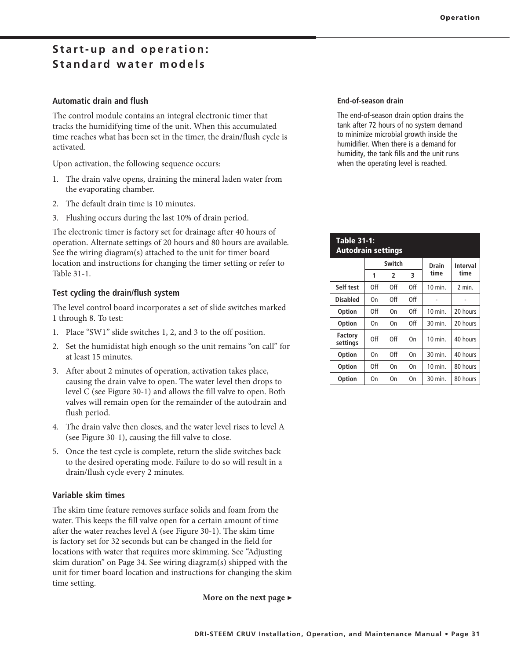## **Start-up and operation: Standard water models**

### **Automatic drain and flush**

The control module contains an integral electronic timer that tracks the humidifying time of the unit. When this accumulated time reaches what has been set in the timer, the drain/flush cycle is activated.

Upon activation, the following sequence occurs:

- 1. The drain valve opens, draining the mineral laden water from the evaporating chamber.
- 2. The default drain time is 10 minutes.
- 3. Flushing occurs during the last 10% of drain period.

The electronic timer is factory set for drainage after 40 hours of operation. Alternate settings of 20 hours and 80 hours are available. See the wiring diagram(s) attached to the unit for timer board location and instructions for changing the timer setting or refer to Table 31-1.

### **Test cycling the drain/flush system**

The level control board incorporates a set of slide switches marked 1 through 8. To test:

- 1. Place "SW1" slide switches 1, 2, and 3 to the off position.
- 2. Set the humidistat high enough so the unit remains "on call" for at least 15 minutes.
- 3. After about 2 minutes of operation, activation takes place, causing the drain valve to open. The water level then drops to level C (see Figure 30-1) and allows the fill valve to open. Both valves will remain open for the remainder of the autodrain and flush period.
- 4. The drain valve then closes, and the water level rises to level A (see Figure 30-1), causing the fill valve to close.
- 5. Once the test cycle is complete, return the slide switches back to the desired operating mode. Failure to do so will result in a drain/flush cycle every 2 minutes.

#### **Variable skim times**

The skim time feature removes surface solids and foam from the water. This keeps the fill valve open for a certain amount of time after the water reaches level A (see Figure 30-1). The skim time is factory set for 32 seconds but can be changed in the field for locations with water that requires more skimming. See "Adjusting skim duration" on Page 34. See wiring diagram(s) shipped with the unit for timer board location and instructions for changing the skim time setting.

**More on the next page ▶**

#### **End-of-season drain**

The end-of-season drain option drains the tank after 72 hours of no system demand to minimize microbial growth inside the humidifier. When there is a demand for humidity, the tank fills and the unit runs when the operating level is reached.

#### **Table 31-1: Autodrain settings Switch Drain time Interval time 123 Self test** | Off | Off | Off | 10 min. | 2 min.

| Self test           | Off | Off            | Off | 10 min.   | 2 min.   |
|---------------------|-----|----------------|-----|-----------|----------|
| <b>Disabled</b>     | On  | Off            | Off |           |          |
| <b>Option</b>       | Off | <b>On</b>      | Off | $10$ min. | 20 hours |
| <b>Option</b>       | On  | 0 <sub>n</sub> | Off | 30 min.   | 20 hours |
| Factory<br>settings | Off | Off            | On  | 10 min.   | 40 hours |
| <b>Option</b>       | On  | Off            | On  | 30 min.   | 40 hours |
| <b>Option</b>       | Off | <b>On</b>      | On  | 10 min.   | 80 hours |
| <b>Option</b>       | On  | On             | On  | 30 min.   | 80 hours |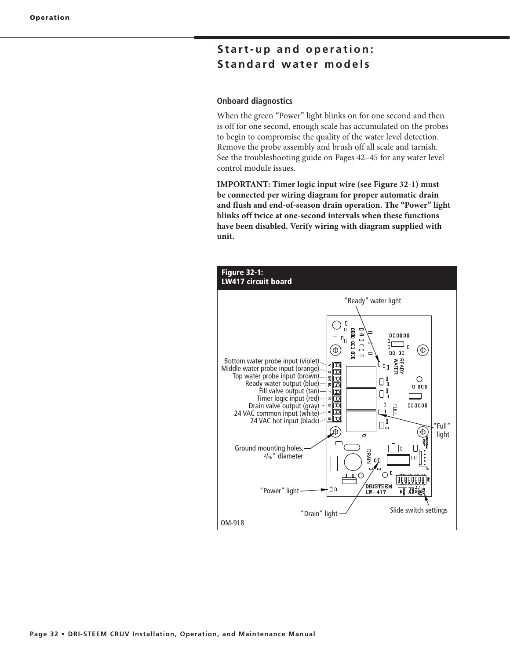## **Start-up and operation: Standard water models**

#### **Onboard diagnostics**

When the green "Power" light blinks on for one second and then is off for one second, enough scale has accumulated on the probes to begin to compromise the quality of the water level detection. Remove the probe assembly and brush off all scale and tarnish. See the troubleshooting guide on Pages 42–45 for any water level control module issues.

**IMPORTANT: Timer logic input wire (see Figure 32-1) must be connected per wiring diagram for proper automatic drain and flush and end-of-season drain operation. The "Power" light blinks off twice at one-second intervals when these functions have been disabled. Verify wiring with diagram supplied with unit.**

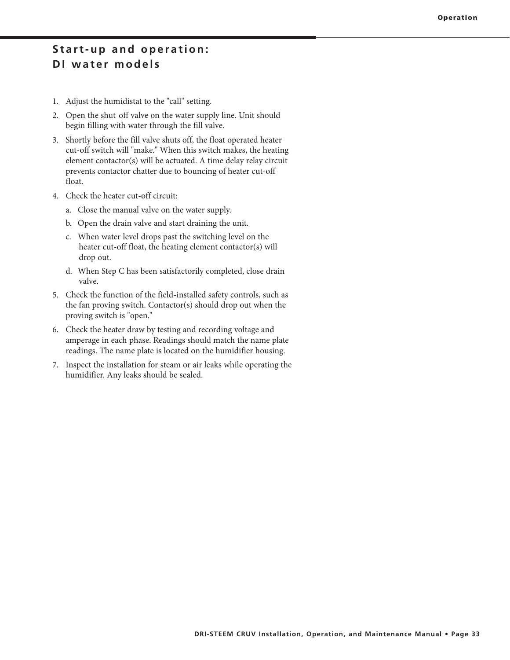### **Start-up and operation: DI water models**

- 1. Adjust the humidistat to the "call" setting.
- 2. Open the shut-off valve on the water supply line. Unit should begin filling with water through the fill valve.
- 3. Shortly before the fill valve shuts off, the float operated heater cut-off switch will "make." When this switch makes, the heating element contactor(s) will be actuated. A time delay relay circuit prevents contactor chatter due to bouncing of heater cut-off float.
- 4. Check the heater cut-off circuit:
	- a. Close the manual valve on the water supply.
	- b. Open the drain valve and start draining the unit.
	- c. When water level drops past the switching level on the heater cut-off float, the heating element contactor(s) will drop out.
	- d. When Step C has been satisfactorily completed, close drain valve.
- 5. Check the function of the field-installed safety controls, such as the fan proving switch. Contactor(s) should drop out when the proving switch is "open."
- 6. Check the heater draw by testing and recording voltage and amperage in each phase. Readings should match the name plate readings. The name plate is located on the humidifier housing.
- 7. Inspect the installation for steam or air leaks while operating the humidifier. Any leaks should be sealed.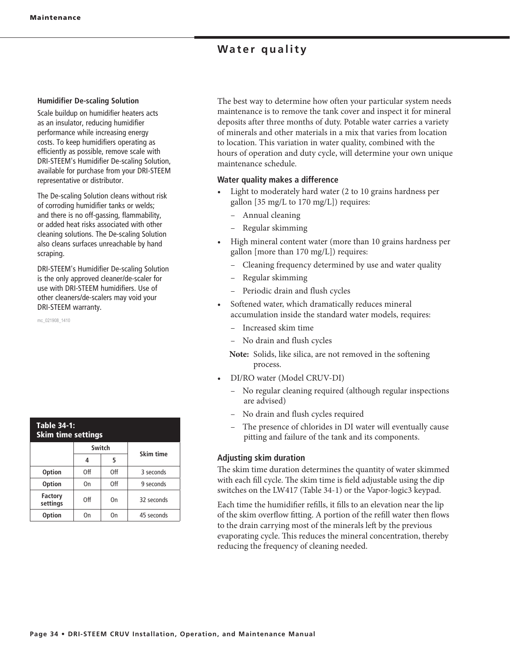### **Water quality**

#### **Humidifier De-scaling Solution**

Scale buildup on humidifier heaters acts as an insulator, reducing humidifier performance while increasing energy costs. To keep humidifiers operating as efficiently as possible, remove scale with DRI-STEEM's Humidifier De-scaling Solution, available for purchase from your DRI-STEEM representative or distributor.

The De-scaling Solution cleans without risk of corroding humidifier tanks or welds; and there is no off-gassing, flammability, or added heat risks associated with other cleaning solutions. The De-scaling Solution also cleans surfaces unreachable by hand scraping.

DRI-STEEM's Humidifier De-scaling Solution is the only approved cleaner/de-scaler for use with DRI-STEEM humidifiers. Use of other cleaners/de-scalers may void your DRI-STEEM warranty.

mc\_021908\_1410

| <b>Table 34-1:</b><br><b>Skim time settings</b> |           |     |            |  |  |  |
|-------------------------------------------------|-----------|-----|------------|--|--|--|
|                                                 | Skim time |     |            |  |  |  |
|                                                 | 4         | 5   |            |  |  |  |
| <b>Option</b>                                   | Off       | Off | 3 seconds  |  |  |  |
| <b>Option</b>                                   | On        | Off | 9 seconds  |  |  |  |
| <b>Factory</b><br>settings                      | Off       | On  | 32 seconds |  |  |  |
| <b>Option</b>                                   | Ωn        | On  | 45 seconds |  |  |  |

The best way to determine how often your particular system needs maintenance is to remove the tank cover and inspect it for mineral deposits after three months of duty. Potable water carries a variety of minerals and other materials in a mix that varies from location to location. This variation in water quality, combined with the hours of operation and duty cycle, will determine your own unique maintenance schedule.

### **Water quality makes a difference**

- Light to moderately hard water (2 to 10 grains hardness per gallon [35 mg/L to 170 mg/L]) requires:
	- Annual cleaning
	- Regular skimming
- High mineral content water (more than 10 grains hardness per gallon [more than 170 mg/L]) requires:
	- Cleaning frequency determined by use and water quality
	- Regular skimming
	- Periodic drain and flush cycles
- Softened water, which dramatically reduces mineral accumulation inside the standard water models, requires:
	- Increased skim time
	- No drain and flush cycles
	- **Note:** Solids, like silica, are not removed in the softening process.
- DI/RO water (Model CRUV-DI)
	- No regular cleaning required (although regular inspections are advised)
	- No drain and flush cycles required
	- The presence of chlorides in DI water will eventually cause pitting and failure of the tank and its components.

### **Adjusting skim duration**

The skim time duration determines the quantity of water skimmed with each fill cycle. The skim time is field adjustable using the dip switches on the LW417 (Table 34-1) or the Vapor-logic3 keypad.

Each time the humidifier refills, it fills to an elevation near the lip of the skim overflow fitting. A portion of the refill water then flows to the drain carrying most of the minerals left by the previous evaporating cycle. This reduces the mineral concentration, thereby reducing the frequency of cleaning needed.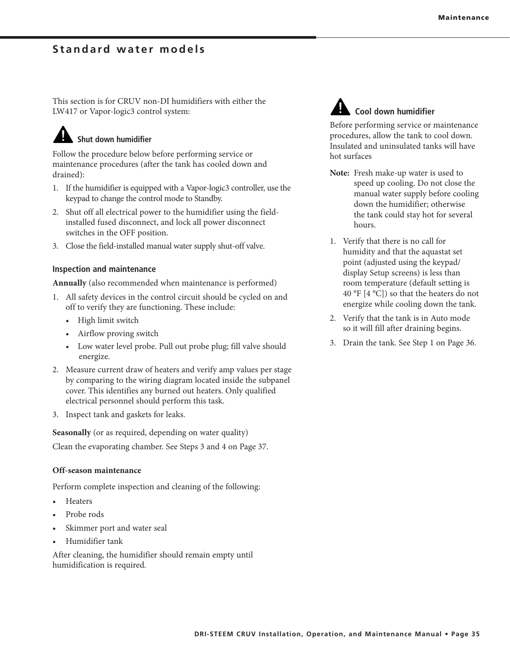### **Standard water models**

This section is for CRUV non-DI humidifiers with either the LW417 or Vapor-logic3 control system:

## **Shut down humidifier**

Follow the procedure below before performing service or maintenance procedures (after the tank has cooled down and drained):

- 1. If the humidifier is equipped with a Vapor-logic3 controller, use the keypad to change the control mode to Standby.
- 2. Shut off all electrical power to the humidifier using the fieldinstalled fused disconnect, and lock all power disconnect switches in the OFF position.
- 3. Close the field-installed manual water supply shut-off valve.

#### **Inspection and maintenance**

**Annually** (also recommended when maintenance is performed)

- 1. All safety devices in the control circuit should be cycled on and off to verify they are functioning. These include:
	- High limit switch
	- Airflow proving switch
	- Low water level probe. Pull out probe plug; fill valve should energize.
- 2. Measure current draw of heaters and verify amp values per stage by comparing to the wiring diagram located inside the subpanel cover. This identifies any burned out heaters. Only qualified electrical personnel should perform this task.
- 3. Inspect tank and gaskets for leaks.

**Seasonally** (or as required, depending on water quality)

Clean the evaporating chamber. See Steps 3 and 4 on Page 37.

#### **Off-season maintenance**

Perform complete inspection and cleaning of the following:

- Heaters
- Probe rods
- Skimmer port and water seal
- Humidifier tank

After cleaning, the humidifier should remain empty until humidification is required.



### **Cool down humidifier**

Before performing service or maintenance procedures, allow the tank to cool down. Insulated and uninsulated tanks will have hot surfaces

- **Note:** Fresh make-up water is used to speed up cooling. Do not close the manual water supply before cooling down the humidifier; otherwise the tank could stay hot for several hours.
- 1. Verify that there is no call for humidity and that the aquastat set point (adjusted using the keypad/ display Setup screens) is less than room temperature (default setting is 40 °F [4 °C]) so that the heaters do not energize while cooling down the tank.
- 2. Verify that the tank is in Auto mode so it will fill after draining begins.
- 3. Drain the tank. See Step 1 on Page 36.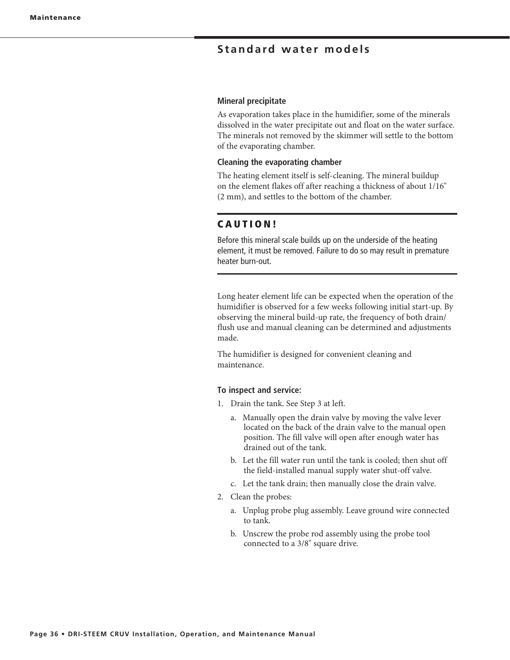### **Standard water models**

#### **Mineral precipitate**

As evaporation takes place in the humidifier, some of the minerals dissolved in the water precipitate out and float on the water surface. The minerals not removed by the skimmer will settle to the bottom of the evaporating chamber.

#### **Cleaning the evaporating chamber**

The heating element itself is self-cleaning. The mineral buildup on the element flakes off after reaching a thickness of about 1/16" (2 mm), and settles to the bottom of the chamber.

### **C A U T I O N !**

Before this mineral scale builds up on the underside of the heating element, it must be removed. Failure to do so may result in premature heater burn-out.

Long heater element life can be expected when the operation of the humidifier is observed for a few weeks following initial start-up. By observing the mineral build-up rate, the frequency of both drain/ flush use and manual cleaning can be determined and adjustments made.

The humidifier is designed for convenient cleaning and maintenance.

#### **To inspect and service:**

- 1. Drain the tank. See Step 3 at left.
	- a. Manually open the drain valve by moving the valve lever located on the back of the drain valve to the manual open position. The fill valve will open after enough water has drained out of the tank.
	- b. Let the fill water run until the tank is cooled; then shut off the field-installed manual supply water shut-off valve.
	- c. Let the tank drain; then manually close the drain valve.
- 2. Clean the probes:
	- a. Unplug probe plug assembly. Leave ground wire connected to tank.
	- b. Unscrew the probe rod assembly using the probe tool connected to a 3/8" square drive.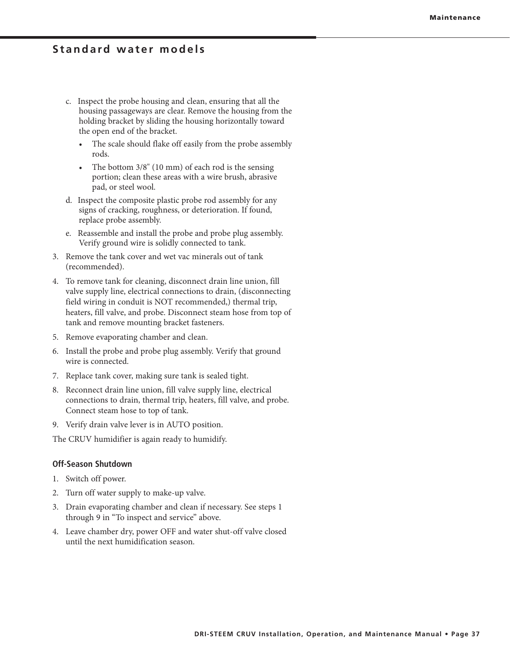### **Standard water models**

- c. Inspect the probe housing and clean, ensuring that all the housing passageways are clear. Remove the housing from the holding bracket by sliding the housing horizontally toward the open end of the bracket.
	- The scale should flake off easily from the probe assembly rods.
	- The bottom  $3/8$ " (10 mm) of each rod is the sensing portion; clean these areas with a wire brush, abrasive pad, or steel wool.
- d. Inspect the composite plastic probe rod assembly for any signs of cracking, roughness, or deterioration. If found, replace probe assembly.
- e. Reassemble and install the probe and probe plug assembly. Verify ground wire is solidly connected to tank.
- 3. Remove the tank cover and wet vac minerals out of tank (recommended).
- 4. To remove tank for cleaning, disconnect drain line union, fill valve supply line, electrical connections to drain, (disconnecting field wiring in conduit is NOT recommended,) thermal trip, heaters, fill valve, and probe. Disconnect steam hose from top of tank and remove mounting bracket fasteners.
- 5. Remove evaporating chamber and clean.
- 6. Install the probe and probe plug assembly. Verify that ground wire is connected.
- 7. Replace tank cover, making sure tank is sealed tight.
- 8. Reconnect drain line union, fill valve supply line, electrical connections to drain, thermal trip, heaters, fill valve, and probe. Connect steam hose to top of tank.
- 9. Verify drain valve lever is in AUTO position.

The CRUV humidifier is again ready to humidify.

### **Off-Season Shutdown**

- 1. Switch off power.
- 2. Turn off water supply to make-up valve.
- 3. Drain evaporating chamber and clean if necessary. See steps 1 through 9 in "To inspect and service" above.
- 4. Leave chamber dry, power OFF and water shut-off valve closed until the next humidification season.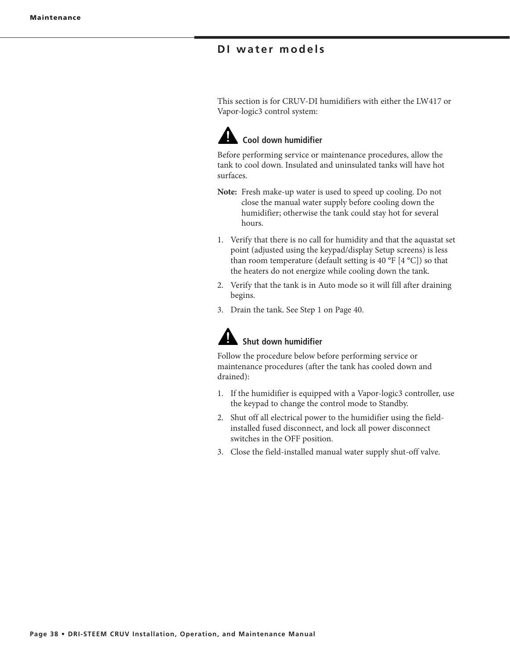This section is for CRUV-DI humidifiers with either the LW417 or Vapor-logic3 control system:



Before performing service or maintenance procedures, allow the tank to cool down. Insulated and uninsulated tanks will have hot surfaces.

- **Note:** Fresh make-up water is used to speed up cooling. Do not close the manual water supply before cooling down the humidifier; otherwise the tank could stay hot for several hours.
- 1. Verify that there is no call for humidity and that the aquastat set point (adjusted using the keypad/display Setup screens) is less than room temperature (default setting is 40 °F [4 °C]) so that the heaters do not energize while cooling down the tank.
- 2. Verify that the tank is in Auto mode so it will fill after draining begins.
- 3. Drain the tank. See Step 1 on Page 40.

# **Shut down humidifier**

Follow the procedure below before performing service or maintenance procedures (after the tank has cooled down and drained):

- 1. If the humidifier is equipped with a Vapor-logic3 controller, use the keypad to change the control mode to Standby.
- 2. Shut off all electrical power to the humidifier using the fieldinstalled fused disconnect, and lock all power disconnect switches in the OFF position.
- 3. Close the field-installed manual water supply shut-off valve.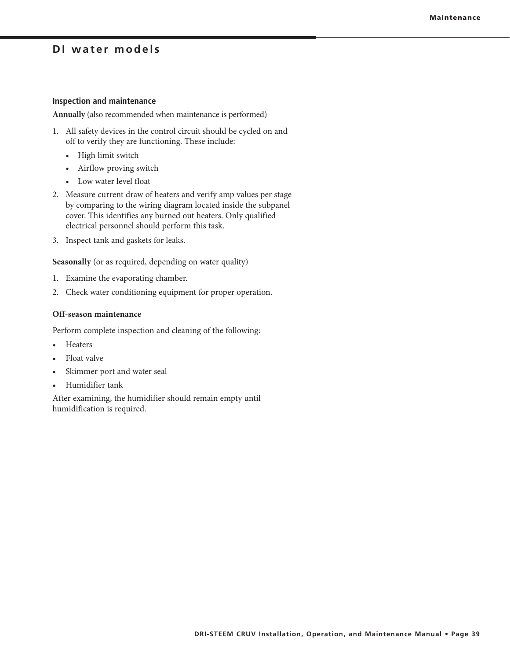#### **Inspection and maintenance**

**Annually** (also recommended when maintenance is performed)

- 1. All safety devices in the control circuit should be cycled on and off to verify they are functioning. These include:
	- High limit switch
	- Airflow proving switch
	- Low water level float
- 2. Measure current draw of heaters and verify amp values per stage by comparing to the wiring diagram located inside the subpanel cover. This identifies any burned out heaters. Only qualified electrical personnel should perform this task.
- 3. Inspect tank and gaskets for leaks.

**Seasonally** (or as required, depending on water quality)

- 1. Examine the evaporating chamber.
- 2. Check water conditioning equipment for proper operation.

### **Off-season maintenance**

Perform complete inspection and cleaning of the following:

- Heaters
- Float valve
- Skimmer port and water seal
- Humidifier tank

After examining, the humidifier should remain empty until humidification is required.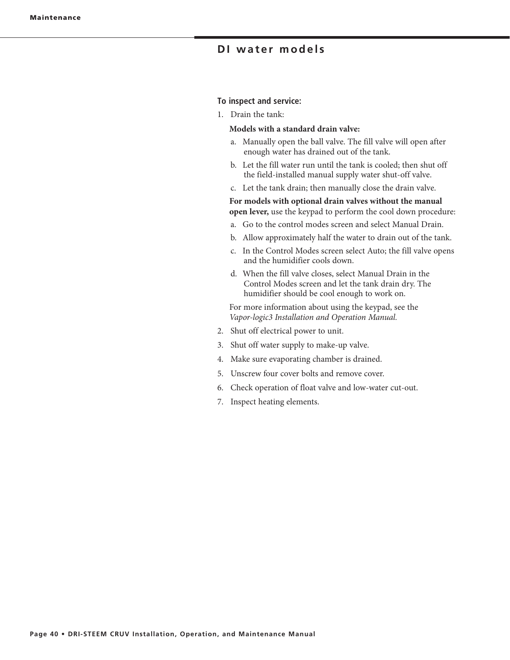#### **To inspect and service:**

1. Drain the tank:

### **Models with a standard drain valve:**

- a. Manually open the ball valve. The fill valve will open after enough water has drained out of the tank.
- b. Let the fill water run until the tank is cooled; then shut off the field-installed manual supply water shut-off valve.
- c. Let the tank drain; then manually close the drain valve.

**For models with optional drain valves without the manual open lever,** use the keypad to perform the cool down procedure:

- a. Go to the control modes screen and select Manual Drain.
- b. Allow approximately half the water to drain out of the tank.
- c. In the Control Modes screen select Auto; the fill valve opens and the humidifier cools down.
- d. When the fill valve closes, select Manual Drain in the Control Modes screen and let the tank drain dry. The humidifier should be cool enough to work on.

For more information about using the keypad, see the *Vapor-logic3 Installation and Operation Manual.*

- 2. Shut off electrical power to unit.
- 3. Shut off water supply to make-up valve.
- 4. Make sure evaporating chamber is drained.
- 5. Unscrew four cover bolts and remove cover.
- 6. Check operation of float valve and low-water cut-out.
- 7. Inspect heating elements.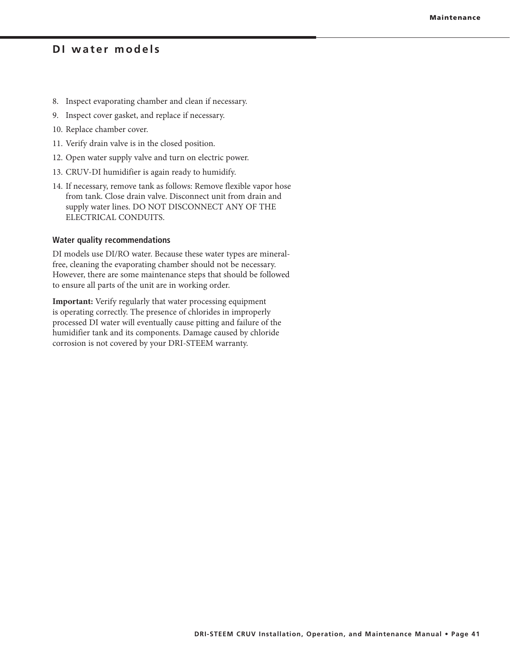- 8. Inspect evaporating chamber and clean if necessary.
- 9. Inspect cover gasket, and replace if necessary.
- 10. Replace chamber cover.
- 11. Verify drain valve is in the closed position.
- 12. Open water supply valve and turn on electric power.
- 13. CRUV-DI humidifier is again ready to humidify.
- 14. If necessary, remove tank as follows: Remove flexible vapor hose from tank. Close drain valve. Disconnect unit from drain and supply water lines. DO NOT DISCONNECT ANY OF THE ELECTRICAL CONDUITS.

#### **Water quality recommendations**

DI models use DI/RO water. Because these water types are mineralfree, cleaning the evaporating chamber should not be necessary. However, there are some maintenance steps that should be followed to ensure all parts of the unit are in working order.

**Important:** Verify regularly that water processing equipment is operating correctly. The presence of chlorides in improperly processed DI water will eventually cause pitting and failure of the humidifier tank and its components. Damage caused by chloride corrosion is not covered by your DRI-STEEM warranty.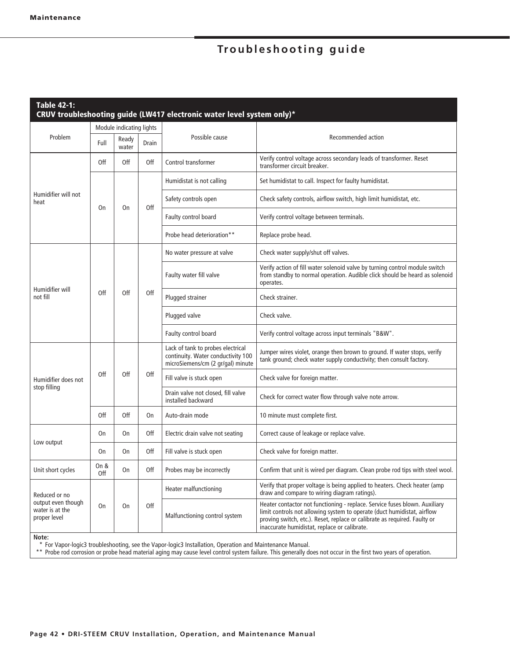| <b>Table 42-1:</b><br>CRUV troubleshooting guide (LW417 electronic water level system only)* |                          |                |       |                                                                                                              |                                                                                                                                                                                                                                                                                    |  |  |
|----------------------------------------------------------------------------------------------|--------------------------|----------------|-------|--------------------------------------------------------------------------------------------------------------|------------------------------------------------------------------------------------------------------------------------------------------------------------------------------------------------------------------------------------------------------------------------------------|--|--|
|                                                                                              | Module indicating lights |                |       |                                                                                                              |                                                                                                                                                                                                                                                                                    |  |  |
| Problem                                                                                      | Full                     | Ready<br>water | Drain | Possible cause                                                                                               | Recommended action                                                                                                                                                                                                                                                                 |  |  |
|                                                                                              | Off                      | 0ff            | Off   | Control transformer                                                                                          | Verify control voltage across secondary leads of transformer. Reset<br>transformer circuit breaker.                                                                                                                                                                                |  |  |
|                                                                                              |                          | 0n             | Off   | Humidistat is not calling                                                                                    | Set humidistat to call. Inspect for faulty humidistat.                                                                                                                                                                                                                             |  |  |
| Humidifier will not<br>heat                                                                  | On                       |                |       | Safety controls open                                                                                         | Check safety controls, airflow switch, high limit humidistat, etc.                                                                                                                                                                                                                 |  |  |
|                                                                                              |                          |                |       | Faulty control board                                                                                         | Verify control voltage between terminals.                                                                                                                                                                                                                                          |  |  |
|                                                                                              |                          |                |       | Probe head deterioration**                                                                                   | Replace probe head.                                                                                                                                                                                                                                                                |  |  |
|                                                                                              |                          |                |       | No water pressure at valve                                                                                   | Check water supply/shut off valves.                                                                                                                                                                                                                                                |  |  |
| Humidifier will                                                                              |                          | Off            | Off   | Faulty water fill valve                                                                                      | Verify action of fill water solenoid valve by turning control module switch<br>from standby to normal operation. Audible click should be heard as solenoid<br>operates.                                                                                                            |  |  |
| not fill                                                                                     | Off                      |                |       | Plugged strainer                                                                                             | Check strainer.                                                                                                                                                                                                                                                                    |  |  |
|                                                                                              |                          |                |       | Plugged valve                                                                                                | Check valve.                                                                                                                                                                                                                                                                       |  |  |
|                                                                                              |                          |                |       | Faulty control board                                                                                         | Verify control voltage across input terminals "B&W".                                                                                                                                                                                                                               |  |  |
|                                                                                              | Off                      | Off            | Off   | Lack of tank to probes electrical<br>continuity. Water conductivity 100<br>microSiemens/cm (2 gr/gal) minute | Jumper wires violet, orange then brown to ground. If water stops, verify<br>tank ground; check water supply conductivity; then consult factory.                                                                                                                                    |  |  |
| Humidifier does not                                                                          |                          |                |       | Fill valve is stuck open                                                                                     | Check valve for foreign matter.                                                                                                                                                                                                                                                    |  |  |
| stop filling                                                                                 |                          |                |       | Drain valve not closed, fill valve<br>installed backward                                                     | Check for correct water flow through valve note arrow.                                                                                                                                                                                                                             |  |  |
|                                                                                              | Off                      | Off            | On    | Auto-drain mode                                                                                              | 10 minute must complete first.                                                                                                                                                                                                                                                     |  |  |
| Low output                                                                                   | On                       | <b>On</b>      | 0ff   | Electric drain valve not seating                                                                             | Correct cause of leakage or replace valve.                                                                                                                                                                                                                                         |  |  |
|                                                                                              | On                       | 0n             | Off   | Fill valve is stuck open                                                                                     | Check valve for foreign matter.                                                                                                                                                                                                                                                    |  |  |
| Unit short cycles                                                                            | On &<br>Off              | 0n             | 0ff   | Probes may be incorrectly                                                                                    | Confirm that unit is wired per diagram. Clean probe rod tips with steel wool.                                                                                                                                                                                                      |  |  |
| Reduced or no                                                                                |                          |                | Off   | Heater malfunctioning                                                                                        | Verify that proper voltage is being applied to heaters. Check heater (amp<br>draw and compare to wiring diagram ratings).                                                                                                                                                          |  |  |
| output even though<br>water is at the<br>proper level                                        | <b>On</b>                | 0n             |       | Malfunctioning control system                                                                                | Heater contactor not functioning - replace. Service fuses blown. Auxiliary<br>limit controls not allowing system to operate (duct humidistat, airflow<br>proving switch, etc.). Reset, replace or calibrate as required. Faulty or<br>inaccurate humidistat, replace or calibrate. |  |  |

**Note:**

\* For Vapor-logic3 troubleshooting, see the Vapor-logic3 Installation, Operation and Maintenance Manual.

\*\* Probe rod corrosion or probe head material aging may cause level control system failure. This generally does not occur in the first two years of operation.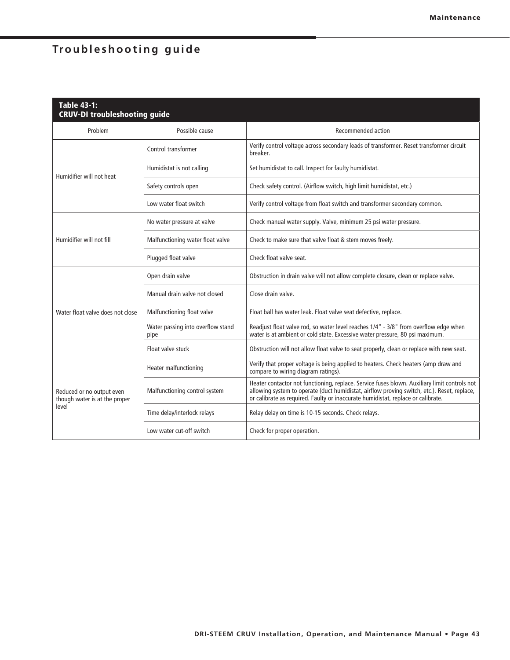| <b>Table 43-1:</b><br><b>CRUV-DI troubleshooting guide</b> |                                           |                                                                                                                                                                                                                                                                                 |  |  |  |
|------------------------------------------------------------|-------------------------------------------|---------------------------------------------------------------------------------------------------------------------------------------------------------------------------------------------------------------------------------------------------------------------------------|--|--|--|
| Problem<br>Possible cause                                  |                                           | Recommended action                                                                                                                                                                                                                                                              |  |  |  |
|                                                            | Control transformer                       | Verify control voltage across secondary leads of transformer. Reset transformer circuit<br>hreaker.                                                                                                                                                                             |  |  |  |
| Humidifier will not heat                                   | Humidistat is not calling                 | Set humidistat to call. Inspect for faulty humidistat.                                                                                                                                                                                                                          |  |  |  |
|                                                            | Safety controls open                      | Check safety control. (Airflow switch, high limit humidistat, etc.)                                                                                                                                                                                                             |  |  |  |
|                                                            | Low water float switch                    | Verify control voltage from float switch and transformer secondary common.                                                                                                                                                                                                      |  |  |  |
|                                                            | No water pressure at valve                | Check manual water supply. Valve, minimum 25 psi water pressure.                                                                                                                                                                                                                |  |  |  |
| Humidifier will not fill                                   | Malfunctioning water float valve          | Check to make sure that valve float & stem moves freely.                                                                                                                                                                                                                        |  |  |  |
|                                                            | Plugged float valve                       | Check float valve seat.                                                                                                                                                                                                                                                         |  |  |  |
|                                                            | Open drain valve                          | Obstruction in drain valve will not allow complete closure, clean or replace valve.                                                                                                                                                                                             |  |  |  |
|                                                            | Manual drain valve not closed             | Close drain valve.                                                                                                                                                                                                                                                              |  |  |  |
| Water float valve does not close                           | Malfunctioning float valve                | Float ball has water leak. Float valve seat defective, replace.                                                                                                                                                                                                                 |  |  |  |
|                                                            | Water passing into overflow stand<br>pipe | Readjust float valve rod, so water level reaches 1/4" - 3/8" from overflow edge when<br>water is at ambient or cold state. Excessive water pressure, 80 psi maximum.                                                                                                            |  |  |  |
|                                                            | Float valve stuck                         | Obstruction will not allow float valve to seat properly, clean or replace with new seat.                                                                                                                                                                                        |  |  |  |
|                                                            | Heater malfunctioning                     | Verify that proper voltage is being applied to heaters. Check heaters (amp draw and<br>compare to wiring diagram ratings).                                                                                                                                                      |  |  |  |
| Reduced or no output even<br>though water is at the proper | Malfunctioning control system             | Heater contactor not functioning, replace. Service fuses blown. Auxiliary limit controls not<br>allowing system to operate (duct humidistat, airflow proving switch, etc.). Reset, replace,<br>or calibrate as required. Faulty or inaccurate humidistat, replace or calibrate. |  |  |  |
| level                                                      | Time delay/interlock relays               | Relay delay on time is 10-15 seconds. Check relays.                                                                                                                                                                                                                             |  |  |  |
|                                                            | Low water cut-off switch                  | Check for proper operation.                                                                                                                                                                                                                                                     |  |  |  |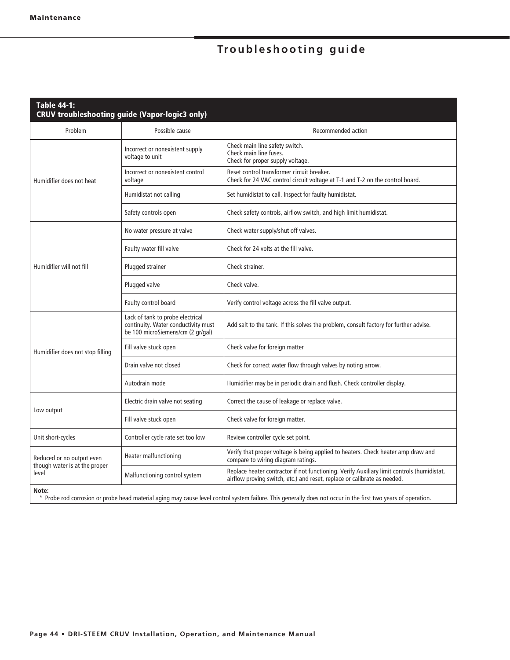| <b>Table 44-1:</b><br><b>CRUV troubleshooting guide (Vapor-logic3 only)</b> |                                                                                                              |                                                                                                                                                                        |  |  |  |
|-----------------------------------------------------------------------------|--------------------------------------------------------------------------------------------------------------|------------------------------------------------------------------------------------------------------------------------------------------------------------------------|--|--|--|
| Problem                                                                     | Possible cause                                                                                               | Recommended action                                                                                                                                                     |  |  |  |
|                                                                             | Incorrect or nonexistent supply<br>voltage to unit                                                           | Check main line safety switch.<br>Check main line fuses.<br>Check for proper supply voltage.                                                                           |  |  |  |
| Humidifier does not heat                                                    | Incorrect or nonexistent control<br>voltage                                                                  | Reset control transformer circuit breaker.<br>Check for 24 VAC control circuit voltage at T-1 and T-2 on the control board.                                            |  |  |  |
|                                                                             | Humidistat not calling                                                                                       | Set humidistat to call. Inspect for faulty humidistat.                                                                                                                 |  |  |  |
|                                                                             | Safety controls open                                                                                         | Check safety controls, airflow switch, and high limit humidistat.                                                                                                      |  |  |  |
|                                                                             | No water pressure at valve                                                                                   | Check water supply/shut off valves.                                                                                                                                    |  |  |  |
|                                                                             | Faulty water fill valve                                                                                      | Check for 24 volts at the fill valve.                                                                                                                                  |  |  |  |
| Humidifier will not fill                                                    | Plugged strainer                                                                                             | Check strainer.                                                                                                                                                        |  |  |  |
|                                                                             | Plugged valve                                                                                                | Check valve.                                                                                                                                                           |  |  |  |
|                                                                             | Faulty control board                                                                                         | Verify control voltage across the fill valve output.                                                                                                                   |  |  |  |
|                                                                             | Lack of tank to probe electrical<br>continuity. Water conductivity must<br>be 100 microSiemens/cm (2 gr/gal) | Add salt to the tank. If this solves the problem, consult factory for further advise.                                                                                  |  |  |  |
| Humidifier does not stop filling                                            | Fill valve stuck open                                                                                        | Check valve for foreign matter                                                                                                                                         |  |  |  |
|                                                                             | Drain valve not closed                                                                                       | Check for correct water flow through valves by noting arrow.                                                                                                           |  |  |  |
|                                                                             | Autodrain mode                                                                                               | Humidifier may be in periodic drain and flush. Check controller display.                                                                                               |  |  |  |
|                                                                             | Electric drain valve not seating                                                                             | Correct the cause of leakage or replace valve.                                                                                                                         |  |  |  |
| Low output                                                                  | Fill valve stuck open                                                                                        | Check valve for foreign matter.                                                                                                                                        |  |  |  |
| Unit short-cycles                                                           | Controller cycle rate set too low                                                                            | Review controller cycle set point.                                                                                                                                     |  |  |  |
| Reduced or no output even                                                   | Heater malfunctioning                                                                                        | Verify that proper voltage is being applied to heaters. Check heater amp draw and<br>compare to wiring diagram ratings.                                                |  |  |  |
| though water is at the proper<br>level                                      | Malfunctioning control system                                                                                | Replace heater contractor if not functioning. Verify Auxiliary limit controls (humidistat,<br>airflow proving switch, etc.) and reset, replace or calibrate as needed. |  |  |  |
| Note:                                                                       |                                                                                                              |                                                                                                                                                                        |  |  |  |

\* Probe rod corrosion or probe head material aging may cause level control system failure. This generally does not occur in the first two years of operation.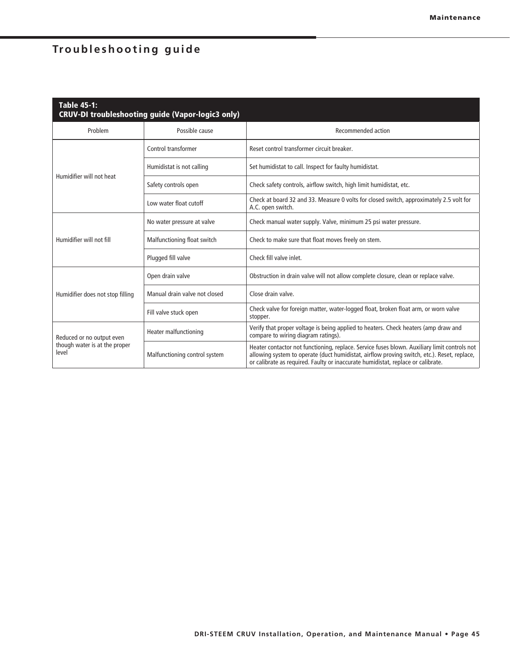| <b>Table 45-1:</b><br>CRUV-DI troubleshooting guide (Vapor-logic3 only) |                               |                                                                                                                                                                                                                                                                                 |  |  |  |
|-------------------------------------------------------------------------|-------------------------------|---------------------------------------------------------------------------------------------------------------------------------------------------------------------------------------------------------------------------------------------------------------------------------|--|--|--|
| Problem                                                                 | Possible cause                | Recommended action                                                                                                                                                                                                                                                              |  |  |  |
|                                                                         | Control transformer           | Reset control transformer circuit breaker.                                                                                                                                                                                                                                      |  |  |  |
|                                                                         | Humidistat is not calling     | Set humidistat to call. Inspect for faulty humidistat.                                                                                                                                                                                                                          |  |  |  |
| Humidifier will not heat                                                | Safety controls open          | Check safety controls, airflow switch, high limit humidistat, etc.                                                                                                                                                                                                              |  |  |  |
|                                                                         | Low water float cutoff        | Check at board 32 and 33. Measure 0 volts for closed switch, approximately 2.5 volt for<br>A.C. open switch.                                                                                                                                                                    |  |  |  |
|                                                                         | No water pressure at valve    | Check manual water supply. Valve, minimum 25 psi water pressure.                                                                                                                                                                                                                |  |  |  |
| Humidifier will not fill                                                | Malfunctioning float switch   | Check to make sure that float moves freely on stem.                                                                                                                                                                                                                             |  |  |  |
|                                                                         | Plugged fill valve            | Check fill valve inlet.                                                                                                                                                                                                                                                         |  |  |  |
|                                                                         | Open drain valve              | Obstruction in drain valve will not allow complete closure, clean or replace valve.                                                                                                                                                                                             |  |  |  |
| Humidifier does not stop filling                                        | Manual drain valve not closed | Close drain valve.                                                                                                                                                                                                                                                              |  |  |  |
|                                                                         | Fill valve stuck open         | Check valve for foreign matter, water-logged float, broken float arm, or worn valve<br>stopper.                                                                                                                                                                                 |  |  |  |
| Reduced or no output even                                               | Heater malfunctioning         | Verify that proper voltage is being applied to heaters. Check heaters (amp draw and<br>compare to wiring diagram ratings).                                                                                                                                                      |  |  |  |
| though water is at the proper<br>level                                  | Malfunctioning control system | Heater contactor not functioning, replace. Service fuses blown. Auxiliary limit controls not<br>allowing system to operate (duct humidistat, airflow proving switch, etc.). Reset, replace,<br>or calibrate as required. Faulty or inaccurate humidistat, replace or calibrate. |  |  |  |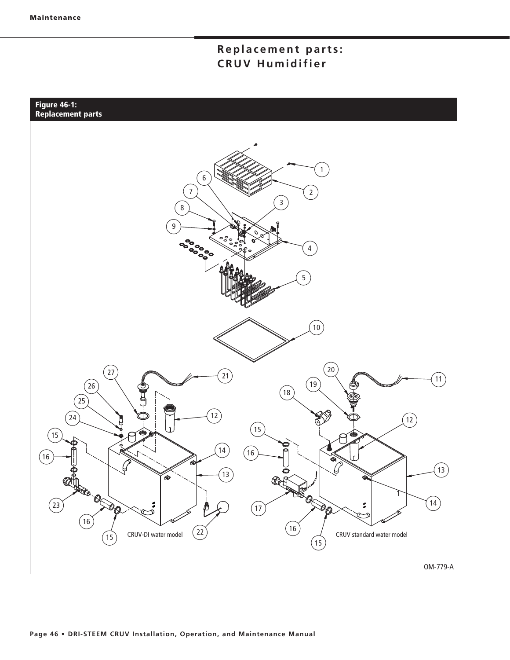## Replacement parts: **CRUV Humidifier**

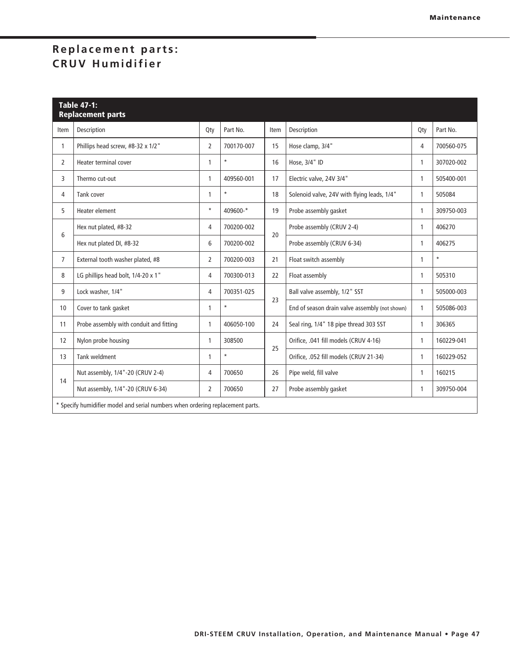## Replacement parts: **CRUV Humidifier**

| <b>Table 47-1:</b><br><b>Replacement parts</b> |                                                                                |                |            |      |                                                |     |            |
|------------------------------------------------|--------------------------------------------------------------------------------|----------------|------------|------|------------------------------------------------|-----|------------|
| Item                                           | Description                                                                    | Qty            | Part No.   | Item | Description                                    | Qty | Part No.   |
| 1                                              | Phillips head screw, #8-32 x 1/2"                                              | $\overline{2}$ | 700170-007 | 15   | Hose clamp, 3/4"                               | 4   | 700560-075 |
| $\overline{2}$                                 | Heater terminal cover                                                          | 1              | $\star$    | 16   | Hose, 3/4" ID                                  | 1   | 307020-002 |
| 3                                              | Thermo cut-out                                                                 | 1              | 409560-001 | 17   | Electric valve, 24V 3/4"                       | 1   | 505400-001 |
| 4                                              | Tank cover                                                                     | 1              | $\star$    | 18   | Solenoid valve, 24V with flying leads, 1/4"    | 1   | 505084     |
| 5                                              | Heater element                                                                 | $\star$        | 409600-*   | 19   | Probe assembly gasket                          | 1   | 309750-003 |
| 6                                              | Hex nut plated, #8-32                                                          | 4              | 700200-002 |      | Probe assembly (CRUV 2-4)                      | 1   | 406270     |
|                                                | Hex nut plated DI, #8-32                                                       | 6              | 700200-002 | 20   | Probe assembly (CRUV 6-34)                     | 1   | 406275     |
| $\overline{7}$                                 | External tooth washer plated, #8                                               | 2              | 700200-003 | 21   | Float switch assembly                          | 1   | $\star$    |
| 8                                              | LG phillips head bolt, 1/4-20 x 1"                                             | 4              | 700300-013 | 22   | Float assembly                                 | 1   | 505310     |
| 9                                              | Lock washer, 1/4"                                                              | 4              | 700351-025 | 23   | Ball valve assembly, 1/2" SST                  | 1   | 505000-003 |
| 10                                             | Cover to tank gasket                                                           | 1              | $\star$    |      | End of season drain valve assembly (not shown) | 1   | 505086-003 |
| 11                                             | Probe assembly with conduit and fitting                                        | 1              | 406050-100 | 24   | Seal ring, 1/4" 18 pipe thread 303 SST         | 1   | 306365     |
| 12                                             | Nylon probe housing                                                            | 1              | 308500     | 25   | Orifice, .041 fill models (CRUV 4-16)          | 1   | 160229-041 |
| 13                                             | <b>Tank weldment</b>                                                           | 1              | $\star$    |      | Orifice, .052 fill models (CRUV 21-34)         | 1   | 160229-052 |
|                                                | Nut assembly, 1/4"-20 (CRUV 2-4)                                               | 4              | 700650     | 26   | Pipe weld, fill valve                          | 1   | 160215     |
| 14                                             | Nut assembly, 1/4"-20 (CRUV 6-34)                                              | 2              | 700650     | 27   | Probe assembly gasket                          | 1   | 309750-004 |
|                                                | * Specify humidifier model and serial numbers when ordering replacement parts. |                |            |      |                                                |     |            |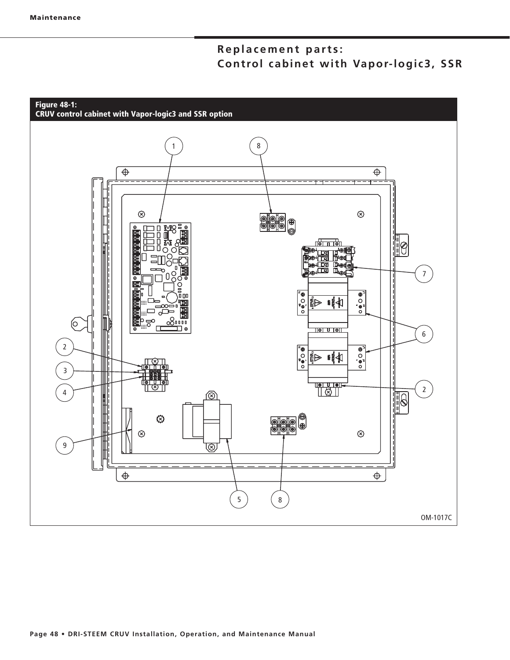## **Replacement parts:** Control cabinet with Vapor-logic3, SSR

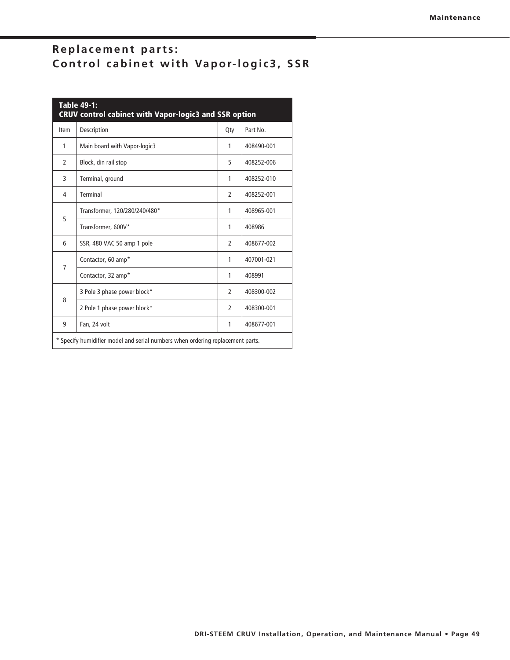## Replacement parts: Control cabinet with Vapor-logic3, SSR

| <b>Table 49-1:</b><br><b>CRUV control cabinet with Vapor-logic3 and SSR option</b> |                               |                |            |  |  |
|------------------------------------------------------------------------------------|-------------------------------|----------------|------------|--|--|
| Item                                                                               | Description                   | Qty            | Part No.   |  |  |
| 1                                                                                  | Main board with Vapor-logic3  | 1              | 408490-001 |  |  |
| $\mathfrak{p}$                                                                     | Block, din rail stop          | 5              | 408252-006 |  |  |
| 3                                                                                  | Terminal, ground              | 1              | 408252-010 |  |  |
| 4                                                                                  | Terminal                      | $\overline{2}$ | 408252-001 |  |  |
| 5                                                                                  | Transformer, 120/280/240/480* | 1              | 408965-001 |  |  |
|                                                                                    | Transformer, 600V*            | 1              | 408986     |  |  |
| 6                                                                                  | SSR, 480 VAC 50 amp 1 pole    | 2              | 408677-002 |  |  |
| $\overline{7}$                                                                     | Contactor, 60 amp*            | 1              | 407001-021 |  |  |
|                                                                                    | Contactor, 32 amp*            | 1              | 408991     |  |  |
| 8                                                                                  | 3 Pole 3 phase power block*   | $\mathfrak{p}$ | 408300-002 |  |  |
|                                                                                    | 2 Pole 1 phase power block*   | $\mathfrak{p}$ | 408300-001 |  |  |
| 9                                                                                  | Fan, 24 volt                  | 1              | 408677-001 |  |  |
| * Specify humidifier model and serial numbers when ordering replacement parts.     |                               |                |            |  |  |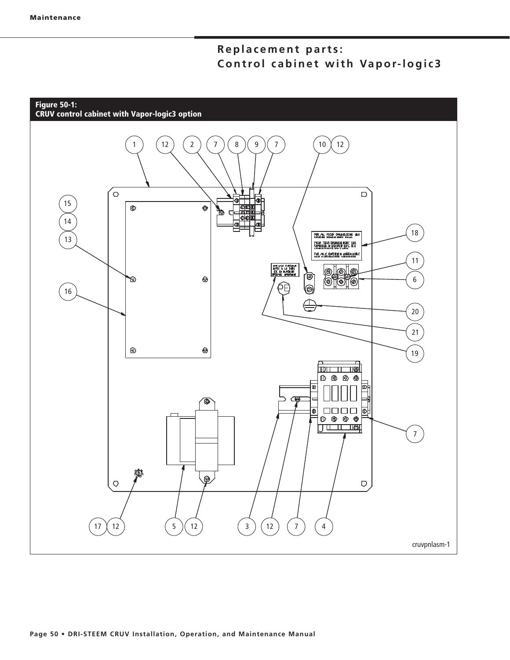## **Replacement parts: Control cabinet with Vapor-logic3**

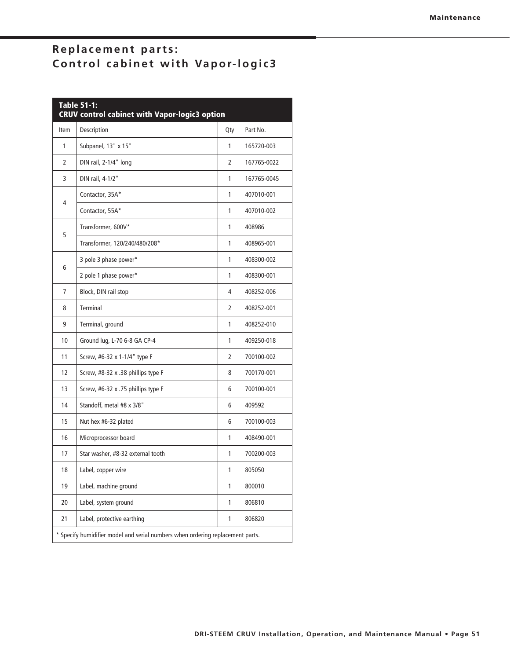## Replacement parts: **Control cabinet with Vapor-logic3**

| <b>Table 51-1:</b><br><b>CRUV control cabinet with Vapor-logic3 option</b>   |                                    |              |             |  |
|------------------------------------------------------------------------------|------------------------------------|--------------|-------------|--|
| Item                                                                         | Description                        | Qty          | Part No.    |  |
| 1                                                                            | Subpanel, 13" x 15"                | 1            | 165720-003  |  |
| 2                                                                            | DIN rail, 2-1/4" long              | 2            | 167765-0022 |  |
| 3                                                                            | DIN rail, 4-1/2"                   | 1            | 167765-0045 |  |
|                                                                              | Contactor, 35A*                    | 1            | 407010-001  |  |
| 4                                                                            | Contactor, 55A*                    | 1            | 407010-002  |  |
|                                                                              | Transformer, 600V*                 | 1            | 408986      |  |
| 5                                                                            | Transformer, 120/240/480/208*      | 1            | 408965-001  |  |
|                                                                              | 3 pole 3 phase power*              | 1            | 408300-002  |  |
| 6                                                                            | 2 pole 1 phase power*              | 1            | 408300-001  |  |
| 7                                                                            | Block, DIN rail stop               | 4            | 408252-006  |  |
| 8                                                                            | Terminal                           | 2            | 408252-001  |  |
| 9                                                                            | Terminal, ground                   | 1            | 408252-010  |  |
| 10                                                                           | Ground lug, L-70 6-8 GA CP-4       | 1            | 409250-018  |  |
| 11                                                                           | Screw, #6-32 x 1-1/4" type F       | 2            | 700100-002  |  |
| 12                                                                           | Screw, #8-32 x .38 phillips type F | 8            | 700170-001  |  |
| 13                                                                           | Screw, #6-32 x .75 phillips type F | 6            | 700100-001  |  |
| 14                                                                           | Standoff, metal #8 x 3/8"          | 6            | 409592      |  |
| 15                                                                           | Nut hex #6-32 plated               | 6            | 700100-003  |  |
| 16                                                                           | Microprocessor board               | 1            | 408490-001  |  |
| 17                                                                           | Star washer, #8-32 external tooth  | 1            | 700200-003  |  |
| 18                                                                           | Label, copper wire                 | 1            | 805050      |  |
| 19                                                                           | Label, machine ground              | $\mathbf{1}$ | 800010      |  |
| 20                                                                           | Label, system ground               | $\mathbf{1}$ | 806810      |  |
| 21                                                                           | Label, protective earthing         | 1            | 806820      |  |
| Specify humidifier model and serial numbers when ordering replacement parts. |                                    |              |             |  |